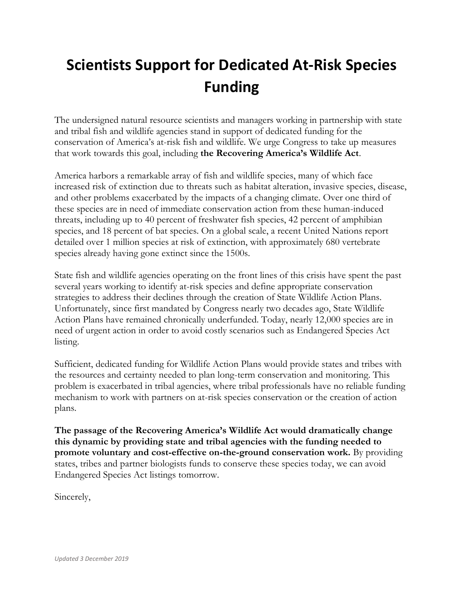# **Scientists Support for Dedicated At-Risk Species Funding**

The undersigned natural resource scientists and managers working in partnership with state and tribal fish and wildlife agencies stand in support of dedicated funding for the conservation of America's at-risk fish and wildlife. We urge Congress to take up measures that work towards this goal, including **the Recovering America's Wildlife Act**.

America harbors a remarkable array of fish and wildlife species, many of which face increased risk of extinction due to threats such as habitat alteration, invasive species, disease, and other problems exacerbated by the impacts of a changing climate. Over one third of these species are in need of immediate conservation action from these human-induced threats, including up to 40 percent of freshwater fish species, 42 percent of amphibian species, and 18 percent of bat species. On a global scale, a recent United Nations report detailed over 1 million species at risk of extinction, with approximately 680 vertebrate species already having gone extinct since the 1500s.

State fish and wildlife agencies operating on the front lines of this crisis have spent the past several years working to identify at-risk species and define appropriate conservation strategies to address their declines through the creation of State Wildlife Action Plans. Unfortunately, since first mandated by Congress nearly two decades ago, State Wildlife Action Plans have remained chronically underfunded. Today, nearly 12,000 species are in need of urgent action in order to avoid costly scenarios such as Endangered Species Act listing.

Sufficient, dedicated funding for Wildlife Action Plans would provide states and tribes with the resources and certainty needed to plan long-term conservation and monitoring. This problem is exacerbated in tribal agencies, where tribal professionals have no reliable funding mechanism to work with partners on at-risk species conservation or the creation of action plans.

**The passage of the Recovering America's Wildlife Act would dramatically change this dynamic by providing state and tribal agencies with the funding needed to promote voluntary and cost-effective on-the-ground conservation work.** By providing states, tribes and partner biologists funds to conserve these species today, we can avoid Endangered Species Act listings tomorrow.

Sincerely,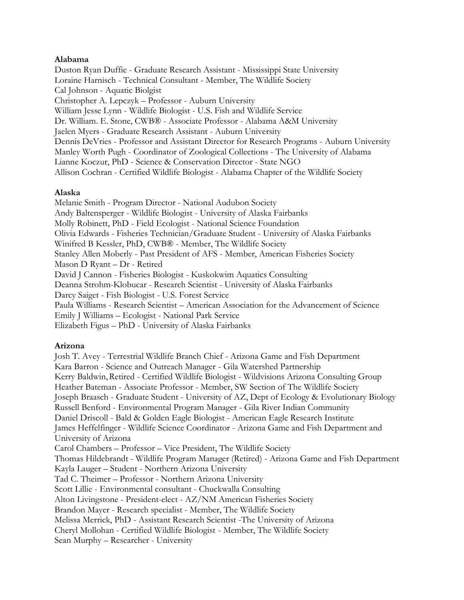## **Alabama**

Duston Ryan Duffie - Graduate Research Assistant - Mississippi State University Loraine Harnisch - Technical Consultant - Member, The Wildlife Society Cal Johnson - Aquatic Biolgist Christopher A. Lepczyk – Professor - Auburn University William Jesse Lynn - Wildlife Biologist - U.S. Fish and Wildlife Service Dr. William. E. Stone, CWB® - Associate Professor - Alabama A&M University Jaelen Myers - Graduate Research Assistant - Auburn University Dennis DeVries - Professor and Assistant Director for Research Programs - Auburn University Manley Worth Pugh - Coordinator of Zoological Collections - The University of Alabama Lianne Koczur, PhD - Science & Conservation Director - State NGO Allison Cochran - Certified Wildlife Biologist - Alabama Chapter of the Wildlife Society

## **Alaska**

Melanie Smith - Program Director - National Audubon Society Andy Baltensperger - Wildlife Biologist - University of Alaska Fairbanks Molly Robinett, PhD - Field Ecologist - National Science Foundation Olivia Edwards - Fisheries Technician/Graduate Student - University of Alaska Fairbanks Winifred B Kessler, PhD, CWB® - Member, The Wildlife Society Stanley Allen Moberly - Past President of AFS - Member, American Fisheries Society Mason D Ryant – Dr - Retired David J Cannon - Fisheries Biologist - Kuskokwim Aquatics Consulting Deanna Strohm-Klobucar - Research Scientist - University of Alaska Fairbanks Darcy Saiget - Fish Biologist - U.S. Forest Service Paula Williams - Research Scientist – American Association for the Advancement of Science Emily J Williams – Ecologist - National Park Service Elizabeth Figus – PhD - University of Alaska Fairbanks

# **Arizona**

Josh T. Avey - Terrestrial Wildlife Branch Chief - Arizona Game and Fish Department Kara Barron - Science and Outreach Manager - Gila Watershed Partnership Kerry Baldwin,Retired - Certified Wildlife Biologist - Wildvisions Arizona Consulting Group Heather Bateman - Associate Professor - Member, SW Section of The Wildlife Society Joseph Braasch - Graduate Student - University of AZ, Dept of Ecology & Evolutionary Biology Russell Benford - Environmental Program Manager - Gila River Indian Community Daniel Driscoll - Bald & Golden Eagle Biologist - American Eagle Research Institute James Heffelfinger - Wildlife Science Coordinator - Arizona Game and Fish Department and University of Arizona Carol Chambers – Professor – Vice President, The Wildlife Society Thomas Hildebrandt - Wildlife Program Manager (Retired) - Arizona Game and Fish Department Kayla Lauger – Student - Northern Arizona University Tad C. Theimer – Professor - Northern Arizona University Scott Lillie - Environmental consultant - Chuckwalla Consulting Alton Livingstone - President-elect - AZ/NM American Fisheries Society Brandon Mayer - Research specialist - Member, The Wildlife Society Melissa Merrick, PhD - Assistant Research Scientist -The University of Arizona Cheryl Mollohan - Certified Wildlife Biologist - Member, The Wildlife Society Sean Murphy – Researcher - University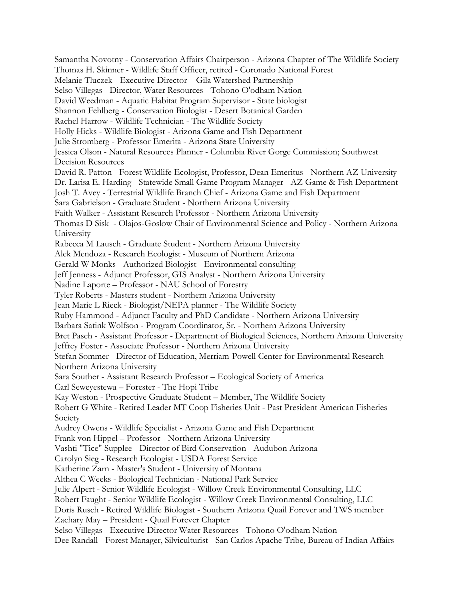Samantha Novotny - Conservation Affairs Chairperson - Arizona Chapter of The Wildlife Society Thomas H. Skinner - Wildlife Staff Officer, retired - Coronado National Forest Melanie Tluczek - Executive Director - Gila Watershed Partnership Selso Villegas - Director, Water Resources - Tohono O'odham Nation David Weedman - Aquatic Habitat Program Supervisor - State biologist Shannon Fehlberg - Conservation Biologist - Desert Botanical Garden Rachel Harrow - Wildlife Technician - The Wildlife Society Holly Hicks - Wildlife Biologist - Arizona Game and Fish Department Julie Stromberg - Professor Emerita - Arizona State University Jessica Olson - Natural Resources Planner - Columbia River Gorge Commission; Southwest Decision Resources David R. Patton - Forest Wildlife Ecologist, Professor, Dean Emeritus - Northern AZ University Dr. Larisa E. Harding - Statewide Small Game Program Manager - AZ Game & Fish Department Josh T. Avey - Terrestrial Wildlife Branch Chief - Arizona Game and Fish Department Sara Gabrielson - Graduate Student - Northern Arizona University Faith Walker - Assistant Research Professor - Northern Arizona University Thomas D Sisk - Olajos-Goslow Chair of Environmental Science and Policy - Northern Arizona University Rabecca M Lausch - Graduate Student - Northern Arizona University Alek Mendoza - Research Ecologist - Museum of Northern Arizona Gerald W Monks - Authorized Biologist - Environmental consulting Jeff Jenness - Adjunct Professor, GIS Analyst - Northern Arizona University Nadine Laporte – Professor - NAU School of Forestry Tyler Roberts - Masters student - Northern Arizona University Jean Marie L Rieck - Biologist/NEPA planner - The Wildlife Society Ruby Hammond - Adjunct Faculty and PhD Candidate - Northern Arizona University Barbara Satink Wolfson - Program Coordinator, Sr. - Northern Arizona University Bret Pasch - Assistant Professor - Department of Biological Sciences, Northern Arizona University Jeffrey Foster - Associate Professor - Northern Arizona University Stefan Sommer - Director of Education, Merriam-Powell Center for Environmental Research - Northern Arizona University Sara Souther - Assistant Research Professor – Ecological Society of America Carl Seweyestewa – Forester - The Hopi Tribe Kay Weston - Prospective Graduate Student – Member, The Wildlife Society Robert G White - Retired Leader MT Coop Fisheries Unit - Past President American Fisheries Society Audrey Owens - Wildlife Specialist - Arizona Game and Fish Department Frank von Hippel – Professor - Northern Arizona University Vashti "Tice" Supplee - Director of Bird Conservation - Audubon Arizona Carolyn Sieg - Research Ecologist - USDA Forest Service Katherine Zarn - Master's Student - University of Montana Althea C Weeks - Biological Technician - National Park Service Julie Alpert - Senior Wildlife Ecologist - Willow Creek Environmental Consulting, LLC Robert Faught - Senior Wildlife Ecologist - Willow Creek Environmental Consulting, LLC Doris Rusch - Retired Wildlife Biologist - Southern Arizona Quail Forever and TWS member Zachary May – President - Quail Forever Chapter Selso Villegas - Executive Director Water Resources - Tohono O'odham Nation Dee Randall - Forest Manager, Silviculturist - San Carlos Apache Tribe, Bureau of Indian Affairs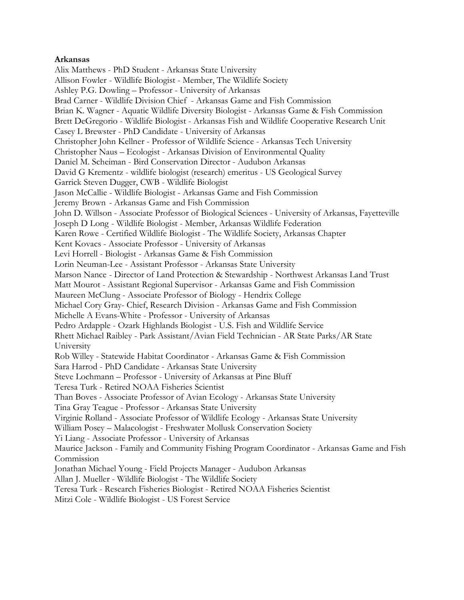## **Arkansas**

Alix Matthews - PhD Student - Arkansas State University Allison Fowler - Wildlife Biologist - Member, The Wildlife Society Ashley P.G. Dowling – Professor - University of Arkansas Brad Carner - Wildlife Division Chief - Arkansas Game and Fish Commission Brian K. Wagner - Aquatic Wildlife Diversity Biologist - Arkansas Game & Fish Commission Brett DeGregorio - Wildlife Biologist - Arkansas Fish and Wildlife Cooperative Research Unit Casey L Brewster - PhD Candidate - University of Arkansas Christopher John Kellner - Professor of Wildlife Science - Arkansas Tech University Christopher Naus – Ecologist - Arkansas Division of Environmental Quality Daniel M. Scheiman - Bird Conservation Director - Audubon Arkansas David G Krementz - wildlife biologist (research) emeritus - US Geological Survey Garrick Steven Dugger, CWB - Wildlife Biologist Jason McCallie - Wildlife Biologist - Arkansas Game and Fish Commission Jeremy Brown - Arkansas Game and Fish Commission John D. Willson - Associate Professor of Biological Sciences - University of Arkansas, Fayetteville Joseph D Long - Wildlife Biologist - Member, Arkansas Wildlife Federation Karen Rowe - Certified Wildlife Biologist - The Wildlife Society, Arkansas Chapter Kent Kovacs - Associate Professor - University of Arkansas Levi Horrell - Biologist - Arkansas Game & Fish Commission Lorin Neuman-Lee - Assistant Professor - Arkansas State University Marson Nance - Director of Land Protection & Stewardship - Northwest Arkansas Land Trust Matt Mourot - Assistant Regional Supervisor - Arkansas Game and Fish Commission Maureen McClung - Associate Professor of Biology - Hendrix College Michael Cory Gray- Chief, Research Division - Arkansas Game and Fish Commission Michelle A Evans-White - Professor - University of Arkansas Pedro Ardapple - Ozark Highlands Biologist - U.S. Fish and Wildlife Service Rhett Michael Raibley - Park Assistant/Avian Field Technician - AR State Parks/AR State University Rob Willey - Statewide Habitat Coordinator - Arkansas Game & Fish Commission Sara Harrod - PhD Candidate - Arkansas State University Steve Lochmann – Professor - University of Arkansas at Pine Bluff Teresa Turk - Retired NOAA Fisheries Scientist Than Boves - Associate Professor of Avian Ecology - Arkansas State University Tina Gray Teague - Professor - Arkansas State University Virginie Rolland - Associate Professor of Wildlife Ecology - Arkansas State University William Posey – Malacologist - Freshwater Mollusk Conservation Society Yi Liang - Associate Professor - University of Arkansas Maurice Jackson - Family and Community Fishing Program Coordinator - Arkansas Game and Fish Commission Jonathan Michael Young - Field Projects Manager - Audubon Arkansas Allan J. Mueller - Wildlife Biologist - The Wildlife Society Teresa Turk - Research Fisheries Biologist - Retired NOAA Fisheries Scientist

Mitzi Cole - Wildlife Biologist - US Forest Service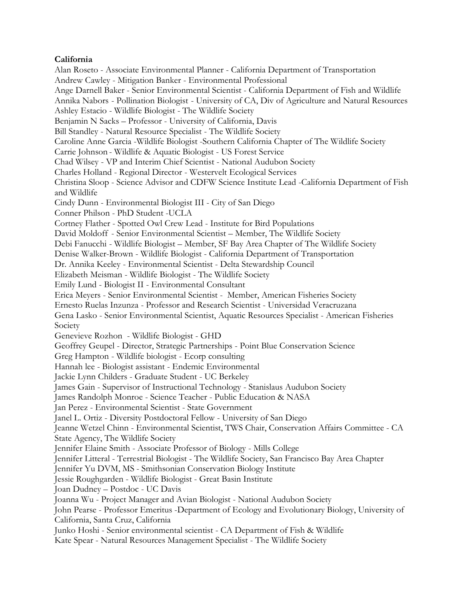## **California**

Alan Roseto - Associate Environmental Planner - California Department of Transportation Andrew Cawley - Mitigation Banker - Environmental Professional Ange Darnell Baker - Senior Environmental Scientist - California Department of Fish and Wildlife Annika Nabors - Pollination Biologist - University of CA, Div of Agriculture and Natural Resources Ashley Estacio - Wildlife Biologist - The Wildlife Society Benjamin N Sacks – Professor - University of California, Davis Bill Standley - Natural Resource Specialist - The Wildlife Society Caroline Anne Garcia -Wildlife Biologist -Southern California Chapter of The Wildlife Society Carrie Johnson - Wildlife & Aquatic Biologist - US Forest Service Chad Wilsey - VP and Interim Chief Scientist - National Audubon Society Charles Holland - Regional Director - Westervelt Ecological Services Christina Sloop - Science Advisor and CDFW Science Institute Lead -California Department of Fish and Wildlife Cindy Dunn - Environmental Biologist III - City of San Diego Conner Philson - PhD Student -UCLA Cortney Flather - Spotted Owl Crew Lead - Institute for Bird Populations David Moldoff - Senior Environmental Scientist – Member, The Wildlife Society Debi Fanucchi - Wildlife Biologist – Member, SF Bay Area Chapter of The Wildlife Society Denise Walker-Brown - Wildlife Biologist - California Department of Transportation Dr. Annika Keeley - Environmental Scientist - Delta Stewardship Council Elizabeth Meisman - Wildlife Biologist - The Wildlife Society Emily Lund - Biologist II - Environmental Consultant Erica Meyers - Senior Environmental Scientist - Member, American Fisheries Society Ernesto Ruelas Inzunza - Professor and Research Scientist - Universidad Veracruzana Gena Lasko - Senior Environmental Scientist, Aquatic Resources Specialist - American Fisheries Society Genevieve Rozhon - Wildlife Biologist - GHD Geoffrey Geupel - Director, Strategic Partnerships - Point Blue Conservation Science Greg Hampton - Wildlife biologist - Ecorp consulting Hannah lee - Biologist assistant - Endemic Environmental Jackie Lynn Childers - Graduate Student - UC Berkeley James Gain - Supervisor of Instructional Technology - Stanislaus Audubon Society James Randolph Monroe - Science Teacher - Public Education & NASA Jan Perez - Environmental Scientist - State Government Janel L. Ortiz - Diversity Postdoctoral Fellow - University of San Diego Jeanne Wetzel Chinn - Environmental Scientist, TWS Chair, Conservation Affairs Committee - CA State Agency, The Wildlife Society Jennifer Elaine Smith - Associate Professor of Biology - Mills College Jennifer Litteral - Terrestrial Biologist - The Wildlife Society, San Francisco Bay Area Chapter Jennifer Yu DVM, MS - Smithsonian Conservation Biology Institute Jessie Roughgarden - Wildlife Biologist - Great Basin Institute Joan Dudney – Postdoc - UC Davis Joanna Wu - Project Manager and Avian Biologist - National Audubon Society John Pearse - Professor Emeritus -Department of Ecology and Evolutionary Biology, University of California, Santa Cruz, California Junko Hoshi - Senior environmental scientist - CA Department of Fish & Wildlife Kate Spear - Natural Resources Management Specialist - The Wildlife Society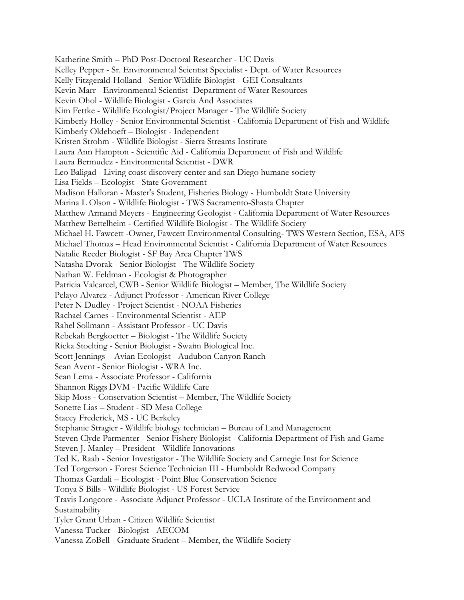Katherine Smith – PhD Post-Doctoral Researcher - UC Davis Kelley Pepper - Sr. Environmental Scientist Specialist - Dept. of Water Resources Kelly Fitzgerald-Holland - Senior Wildlife Biologist - GEI Consultants Kevin Marr - Environmental Scientist -Department of Water Resources Kevin Ohol - Wildlife Biologist - Garcia And Associates Kim Fettke - Wildlife Ecologist/Project Manager - The Wildlife Society Kimberly Holley - Senior Environmental Scientist - California Department of Fish and Wildlife Kimberly Oldehoeft – Biologist - Independent Kristen Strohm - Wildlife Biologist - Sierra Streams Institute Laura Ann Hampton - Scientific Aid - California Department of Fish and Wildlife Laura Bermudez - Environmental Scientist - DWR Leo Baligad - Living coast discovery center and san Diego humane society Lisa Fields – Ecologist - State Government Madison Halloran - Master's Student, Fisheries Biology - Humboldt State University Marina L Olson - Wildlife Biologist - TWS Sacramento-Shasta Chapter Matthew Armand Meyers - Engineering Geologist - California Department of Water Resources Matthew Bettelheim - Certified Wildlife Biologist - The Wildlife Society Michael H. Fawcett -Owner, Fawcett Environmental Consulting- TWS Western Section, ESA, AFS Michael Thomas – Head Environmental Scientist - California Department of Water Resources Natalie Reeder Biologist - SF Bay Area Chapter TWS Natasha Dvorak - Senior Biologist - The Wildlife Society Nathan W. Feldman - Ecologist & Photographer Patricia Valcarcel, CWB - Senior Wildlife Biologist – Member, The Wildlife Society Pelayo Alvarez - Adjunct Professor - American River College Peter N Dudley - Project Scientist - NOAA Fisheries Rachael Carnes - Environmental Scientist - AEP Rahel Sollmann - Assistant Professor - UC Davis Rebekah Bergkoetter – Biologist - The Wildlife Society Ricka Stoelting - Senior Biologist - Swaim Biological Inc. Scott Jennings - Avian Ecologist - Audubon Canyon Ranch Sean Avent - Senior Biologist - WRA Inc. Sean Lema - Associate Professor - California Shannon Riggs DVM - Pacific Wildlife Care Skip Moss - Conservation Scientist – Member, The Wildlife Society Sonette Lias – Student - SD Mesa College Stacey Frederick, MS - UC Berkeley Stephanie Stragier - Wildlife biology technician – Bureau of Land Management Steven Clyde Parmenter - Senior Fishery Biologist - California Department of Fish and Game Steven J. Manley – President - Wildlife Innovations Ted K. Raab - Senior Investigator - The Wildlife Society and Carnegie Inst for Science Ted Torgerson - Forest Science Technician III - Humboldt Redwood Company Thomas Gardali – Ecologist - Point Blue Conservation Science Tonya S Bills - Wildlife Biologist - US Forest Service Travis Longcore - Associate Adjunct Professor - UCLA Institute of the Environment and Sustainability Tyler Grant Urban - Citizen Wildlife Scientist Vanessa Tucker - Biologist - AECOM Vanessa ZoBell - Graduate Student – Member, the Wildlife Society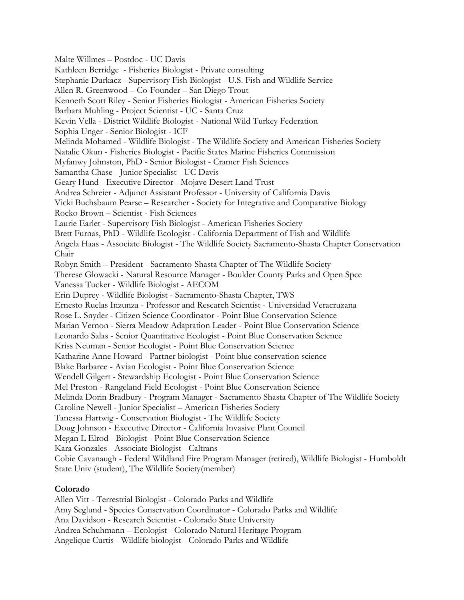Malte Willmes – Postdoc - UC Davis Kathleen Berridge - Fisheries Biologist - Private consulting Stephanie Durkacz - Supervisory Fish Biologist - U.S. Fish and Wildlife Service Allen R. Greenwood – Co-Founder – San Diego Trout Kenneth Scott Riley - Senior Fisheries Biologist - American Fisheries Society Barbara Muhling - Project Scientist - UC - Santa Cruz Kevin Vella - District Wildlife Biologist - National Wild Turkey Federation Sophia Unger - Senior Biologist - ICF Melinda Mohamed - Wildlife Biologist - The Wildlife Society and American Fisheries Society Natalie Okun - Fisheries Biologist - Pacific States Marine Fisheries Commission Myfanwy Johnston, PhD - Senior Biologist - Cramer Fish Sciences Samantha Chase - Junior Specialist - UC Davis Geary Hund - Executive Director - Mojave Desert Land Trust Andrea Schreier - Adjunct Assistant Professor - University of California Davis Vicki Buchsbaum Pearse – Researcher - Society for Integrative and Comparative Biology Rocko Brown – Scientist - Fish Sciences Laurie Earlet - Supervisory Fish Biologist - American Fisheries Society Brett Furnas, PhD - Wildlife Ecologist - California Department of Fish and Wildlife Angela Haas - Associate Biologist - The Wildlife Society Sacramento-Shasta Chapter Conservation Chair Robyn Smith – President - Sacramento-Shasta Chapter of The Wildlife Society Therese Glowacki - Natural Resource Manager - Boulder County Parks and Open Spce Vanessa Tucker - Wildlife Biologist - AECOM Erin Duprey - Wildlife Biologist - Sacramento-Shasta Chapter, TWS Ernesto Ruelas Inzunza - Professor and Research Scientist - Universidad Veracruzana Rose L. Snyder - Citizen Science Coordinator - Point Blue Conservation Science Marian Vernon - Sierra Meadow Adaptation Leader - Point Blue Conservation Science Leonardo Salas - Senior Quantitative Ecologist - Point Blue Conservation Science Kriss Neuman - Senior Ecologist - Point Blue Conservation Science Katharine Anne Howard - Partner biologist - Point blue conservation science Blake Barbaree - Avian Ecologist - Point Blue Conservation Science Wendell Gilgert - Stewardship Ecologist - Point Blue Conservation Science Mel Preston - Rangeland Field Ecologist - Point Blue Conservation Science Melinda Dorin Bradbury - Program Manager - Sacramento Shasta Chapter of The Wildlife Society Caroline Newell - Junior Specialist – American Fisheries Society Tanessa Hartwig - Conservation Biologist - The Wildlife Society Doug Johnson - Executive Director - California Invasive Plant Council Megan L Elrod - Biologist - Point Blue Conservation Science Kara Gonzales - Associate Biologist - Caltrans Cobie Cavanaugh - Federal Wildland Fire Program Manager (retired), Wildlife Biologist - Humboldt State Univ (student), The Wildlife Society(member)

# **Colorado**

Allen Vitt - Terrestrial Biologist - Colorado Parks and Wildlife Amy Seglund - Species Conservation Coordinator - Colorado Parks and Wildlife Ana Davidson - Research Scientist - Colorado State University Andrea Schuhmann – Ecologist - Colorado Natural Heritage Program Angelique Curtis - Wildlife biologist - Colorado Parks and Wildlife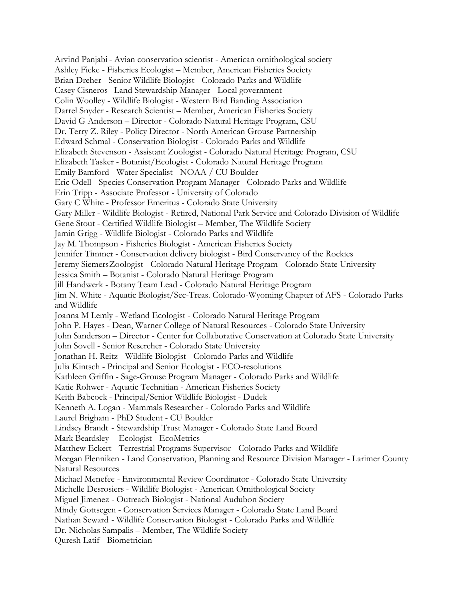Arvind Panjabi - Avian conservation scientist - American ornithological society Ashley Ficke - Fisheries Ecologist – Member, American Fisheries Society Brian Dreher - Senior Wildlife Biologist - Colorado Parks and Wildlife Casey Cisneros- Land Stewardship Manager - Local government Colin Woolley - Wildlife Biologist - Western Bird Banding Association Darrel Snyder - Research Scientist – Member, American Fisheries Society David G Anderson – Director - Colorado Natural Heritage Program, CSU Dr. Terry Z. Riley - Policy Director - North American Grouse Partnership Edward Schmal - Conservation Biologist - Colorado Parks and Wildlife Elizabeth Stevenson - Assistant Zoologist - Colorado Natural Heritage Program, CSU Elizabeth Tasker - Botanist/Ecologist - Colorado Natural Heritage Program Emily Bamford - Water Specialist - NOAA / CU Boulder Eric Odell - Species Conservation Program Manager - Colorado Parks and Wildlife Erin Tripp - Associate Professor - University of Colorado Gary C White - Professor Emeritus - Colorado State University Gary Miller - Wildlife Biologist - Retired, National Park Service and Colorado Division of Wildlife Gene Stout - Certified Wildlife Biologist – Member, The Wildlife Society Jamin Grigg - Wildlife Biologist - Colorado Parks and Wildlife Jay M. Thompson - Fisheries Biologist - American Fisheries Society Jennifer Timmer - Conservation delivery biologist - Bird Conservancy of the Rockies Jeremy SiemersZoologist - Colorado Natural Heritage Program - Colorado State University Jessica Smith – Botanist - Colorado Natural Heritage Program Jill Handwerk - Botany Team Lead - Colorado Natural Heritage Program Jim N. White - Aquatic Biologist/Sec-Treas. Colorado-Wyoming Chapter of AFS - Colorado Parks and Wildlife Joanna M Lemly - Wetland Ecologist - Colorado Natural Heritage Program John P. Hayes - Dean, Warner College of Natural Resources - Colorado State University John Sanderson – Director - Center for Collaborative Conservation at Colorado State University John Sovell - Senior Resercher - Colorado State University Jonathan H. Reitz - Wildlife Biologist - Colorado Parks and Wildlife Julia Kintsch - Principal and Senior Ecologist - ECO-resolutions Kathleen Griffin - Sage-Grouse Program Manager - Colorado Parks and Wildlife Katie Rohwer - Aquatic Technitian - American Fisheries Society Keith Babcock - Principal/Senior Wildlife Biologist - Dudek Kenneth A. Logan - Mammals Researcher - Colorado Parks and Wildlife Laurel Brigham - PhD Student - CU Boulder Lindsey Brandt - Stewardship Trust Manager - Colorado State Land Board Mark Beardsley - Ecologist - EcoMetrics Matthew Eckert - Terrestrial Programs Supervisor - Colorado Parks and Wildlife Meegan Flenniken - Land Conservation, Planning and Resource Division Manager - Larimer County Natural Resources Michael Menefee - Environmental Review Coordinator - Colorado State University Michelle Desrosiers - Wildlife Biologist - American Ornithological Society Miguel Jimenez - Outreach Biologist - National Audubon Society Mindy Gottsegen - Conservation Services Manager - Colorado State Land Board Nathan Seward - Wildlife Conservation Biologist - Colorado Parks and Wildlife Dr. Nicholas Sampalis – Member, The Wildlife Society Quresh Latif - Biometrician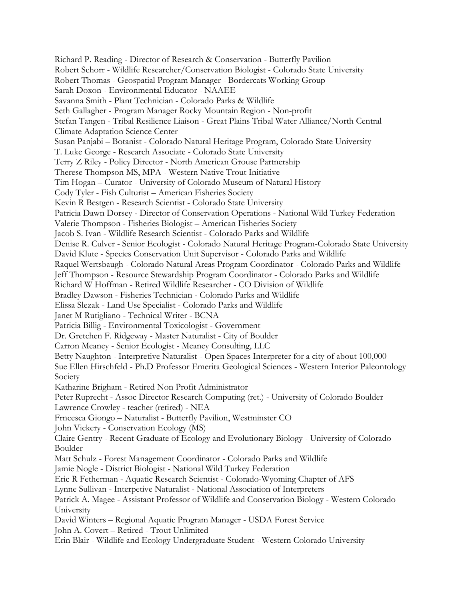Richard P. Reading - Director of Research & Conservation - Butterfly Pavilion Robert Schorr - Wildlife Researcher/Conservation Biologist - Colorado State University Robert Thomas - Geospatial Program Manager - Bordercats Working Group Sarah Doxon - Environmental Educator - NAAEE Savanna Smith - Plant Technician - Colorado Parks & Wildlife Seth Gallagher - Program Manager Rocky Mountain Region - Non-profit Stefan Tangen - Tribal Resilience Liaison - Great Plains Tribal Water Alliance/North Central Climate Adaptation Science Center Susan Panjabi – Botanist - Colorado Natural Heritage Program, Colorado State University T. Luke George - Research Associate - Colorado State University Terry Z Riley - Policy Director - North American Grouse Partnership Therese Thompson MS, MPA - Western Native Trout Initiative Tim Hogan – Curator - University of Colorado Museum of Natural History Cody Tyler - Fish Culturist – American Fisheries Society Kevin R Bestgen - Research Scientist - Colorado State University Patricia Dawn Dorsey - Director of Conservation Operations - National Wild Turkey Federation Valerie Thompson - Fisheries Biologist – American Fisheries Society Jacob S. Ivan - Wildlife Research Scientist - Colorado Parks and Wildlife Denise R. Culver - Senior Ecologist - Colorado Natural Heritage Program-Colorado State University David Klute - Species Conservation Unit Supervisor - Colorado Parks and Wildlife Raquel Wertsbaugh - Colorado Natural Areas Program Coordinator - Colorado Parks and Wildlife Jeff Thompson - Resource Stewardship Program Coordinator - Colorado Parks and Wildlife Richard W Hoffman - Retired Wildlife Researcher - CO Division of Wildlife Bradley Dawson - Fisheries Technician - Colorado Parks and Wildlife Elissa Slezak - Land Use Specialist - Colorado Parks and Wildlife Janet M Rutigliano - Technical Writer - BCNA Patricia Billig - Environmental Toxicologist - Government Dr. Gretchen F. Ridgeway - Master Naturalist - City of Boulder Carron Meaney - Senior Ecologist - Meaney Consulting, LLC Betty Naughton - Interpretive Naturalist - Open Spaces Interpreter for a city of about 100,000 Sue Ellen Hirschfeld - Ph.D Professor Emerita Geological Sciences - Western Interior Paleontology Society Katharine Brigham - Retired Non Profit Administrator Peter Ruprecht - Assoc Director Research Computing (ret.) - University of Colorado Boulder Lawrence Crowley - teacher (retired) - NEA Frncesca Giongo – Naturalist - Butterfly Pavilion, Westminster CO John Vickery - Conservation Ecology (MS) Claire Gentry - Recent Graduate of Ecology and Evolutionary Biology - University of Colorado Boulder Matt Schulz - Forest Management Coordinator - Colorado Parks and Wildlife Jamie Nogle - District Biologist - National Wild Turkey Federation Eric R Fetherman - Aquatic Research Scientist - Colorado-Wyoming Chapter of AFS Lynne Sullivan - Interpetive Naturalist - National Association of Interpreters Patrick A. Magee - Assistant Professor of Wildlife and Conservation Biology - Western Colorado University David Winters – Regional Aquatic Program Manager - USDA Forest Service John A. Covert – Retired - Trout Unlimited Erin Blair - Wildlife and Ecology Undergraduate Student - Western Colorado University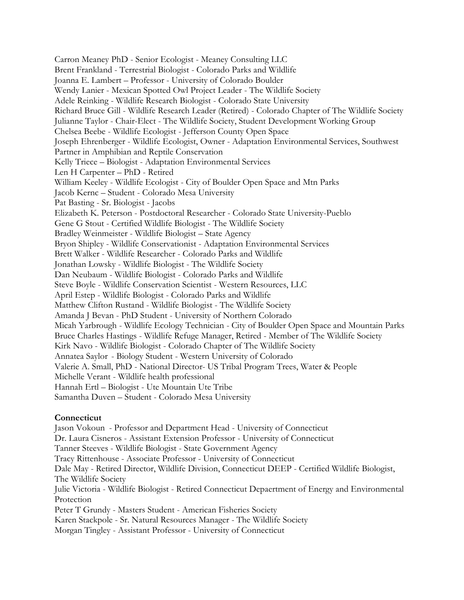Carron Meaney PhD - Senior Ecologist - Meaney Consulting LLC Brent Frankland - Terrestrial Biologist - Colorado Parks and Wildlife Joanna E. Lambert – Professor - University of Colorado Boulder Wendy Lanier - Mexican Spotted Owl Project Leader - The Wildlife Society Adele Reinking - Wildlife Research Biologist - Colorado State University Richard Bruce Gill - Wildlife Research Leader (Retired) - Colorado Chapter of The Wildlife Society Julianne Taylor - Chair-Elect - The Wildlife Society, Student Development Working Group Chelsea Beebe - Wildlife Ecologist - Jefferson County Open Space Joseph Ehrenberger - Wildlife Ecologist, Owner - Adaptation Environmental Services, Southwest Partner in Amphibian and Reptile Conservation Kelly Triece – Biologist - Adaptation Environmental Services Len H Carpenter – PhD - Retired William Keeley - Wildlife Ecologist - City of Boulder Open Space and Mtn Parks Jacob Kernc – Student - Colorado Mesa University Pat Basting - Sr. Biologist - Jacobs Elizabeth K. Peterson - Postdoctoral Researcher - Colorado State University-Pueblo Gene G Stout - Certified Wildlife Biologist - The Wildlife Society Bradley Weinmeister - Wildlife Biologist – State Agency Bryon Shipley - Wildlife Conservationist - Adaptation Environmental Services Brett Walker - Wildlife Researcher - Colorado Parks and Wildlife Jonathan Lowsky - Wildlife Biologist - The Wildlife Society Dan Neubaum - Wildlife Biologist - Colorado Parks and Wildlife Steve Boyle - Wildlife Conservation Scientist - Western Resources, LLC April Estep - Wildlife Biologist - Colorado Parks and Wildlife Matthew Clifton Rustand - Wildlife Biologist - The Wildlife Society Amanda J Bevan - PhD Student - University of Northern Colorado Micah Yarbrough - Wildlife Ecology Technician - City of Boulder Open Space and Mountain Parks Bruce Charles Hastings - Wildlife Refuge Manager, Retired - Member of The Wildlife Society Kirk Navo - Wildlife Biologist - Colorado Chapter of The Wildlife Society Annatea Saylor - Biology Student - Western University of Colorado Valerie A. Small, PhD - National Director- US Tribal Program Trees, Water & People Michelle Verant - Wildlife health professional Hannah Ertl – Biologist - Ute Mountain Ute Tribe Samantha Duven – Student - Colorado Mesa University

# **Connecticut**

Jason Vokoun - Professor and Department Head - University of Connecticut Dr. Laura Cisneros - Assistant Extension Professor - University of Connecticut Tanner Steeves - Wildlife Biologist - State Government Agency Tracy Rittenhouse - Associate Professor - University of Connecticut Dale May - Retired Director, Wildlife Division, Connecticut DEEP - Certified Wildlife Biologist, The Wildlife Society Julie Victoria - Wildlife Biologist - Retired Connecticut Depaertment of Energy and Environmental Protection Peter T Grundy - Masters Student - American Fisheries Society Karen Stackpole - Sr. Natural Resources Manager - The Wildlife Society Morgan Tingley - Assistant Professor - University of Connecticut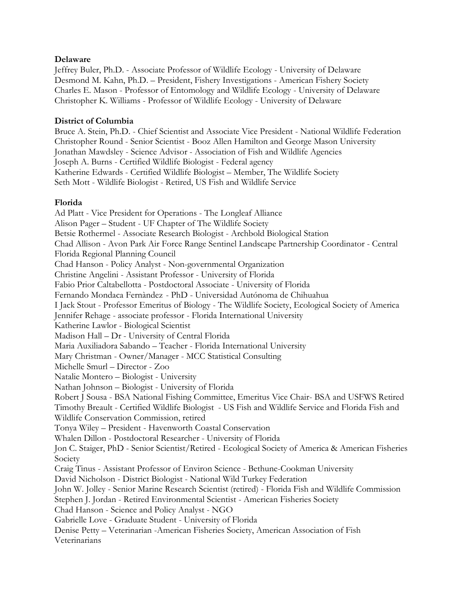## **Delaware**

Jeffrey Buler, Ph.D. - Associate Professor of Wildlife Ecology - University of Delaware Desmond M. Kahn, Ph.D. – President, Fishery Investigations - American Fishery Society Charles E. Mason - Professor of Entomology and Wildlife Ecology - University of Delaware Christopher K. Williams - Professor of Wildlife Ecology - University of Delaware

## **District of Columbia**

Bruce A. Stein, Ph.D. - Chief Scientist and Associate Vice President - National Wildlife Federation Christopher Round - Senior Scientist - Booz Allen Hamilton and George Mason University Jonathan Mawdsley - Science Advisor - Association of Fish and Wildlife Agencies Joseph A. Burns - Certified Wildlife Biologist - Federal agency Katherine Edwards - Certified Wildlife Biologist – Member, The Wildlife Society Seth Mott - Wildlife Biologist - Retired, US Fish and Wildlife Service

## **Florida**

Ad Platt - Vice President for Operations - The Longleaf Alliance Alison Pager – Student - UF Chapter of The Wildlife Society Betsie Rothermel - Associate Research Biologist - Archbold Biological Station Chad Allison - Avon Park Air Force Range Sentinel Landscape Partnership Coordinator - Central Florida Regional Planning Council Chad Hanson - Policy Analyst - Non-governmental Organization Christine Angelini - Assistant Professor - University of Florida Fabio Prior Caltabellotta - Postdoctoral Associate - University of Florida Fernando Mondaca Fernàndez - PhD - Universidad Autónoma de Chihuahua I Jack Stout - Professor Emeritus of Biology - The Wildlife Society, Ecological Society of America Jennifer Rehage - associate professor - Florida International University Katherine Lawlor - Biological Scientist Madison Hall – Dr - University of Central Florida Maria Auxiliadora Sabando – Teacher - Florida International University Mary Christman - Owner/Manager - MCC Statistical Consulting Michelle Smurl – Director - Zoo Natalie Montero – Biologist - University Nathan Johnson – Biologist - University of Florida Robert J Sousa - BSA National Fishing Committee, Emeritus Vice Chair- BSA and USFWS Retired Timothy Breault - Certified Wildlife Biologist - US Fish and Wildlife Service and Florida Fish and Wildlife Conservation Commission, retired Tonya Wiley – President - Havenworth Coastal Conservation Whalen Dillon - Postdoctoral Researcher - University of Florida Jon C. Staiger, PhD - Senior Scientist/Retired - Ecological Society of America & American Fisheries Society Craig Tinus - Assistant Professor of Environ Science - Bethune-Cookman University David Nicholson - District Biologist - National Wild Turkey Federation John W. Jolley - Senior Marine Research Scientist (retired) - Florida Fish and Wildlife Commission Stephen J. Jordan - Retired Environmental Scientist - American Fisheries Society Chad Hanson - Science and Policy Analyst - NGO Gabrielle Love - Graduate Student - University of Florida Denise Petty – Veterinarian -American Fisheries Society, American Association of Fish Veterinarians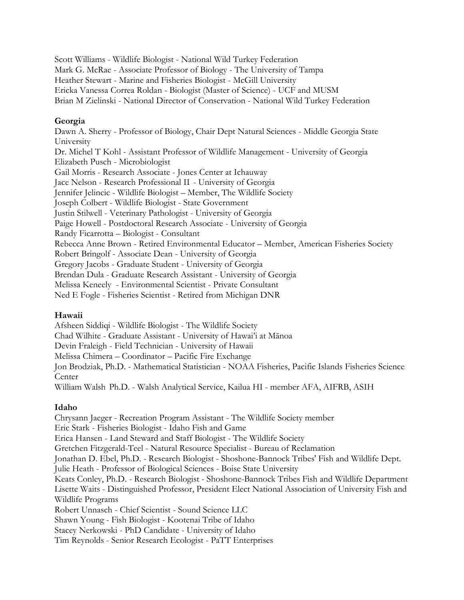Scott Williams - Wildlife Biologist - National Wild Turkey Federation Mark G. McRae - Associate Professor of Biology - The University of Tampa Heather Stewart - Marine and Fisheries Biologist - McGill University Ericka Vanessa Correa Roldan - Biologist (Master of Science) - UCF and MUSM Brian M Zielinski - National Director of Conservation - National Wild Turkey Federation

# **Georgia**

Dawn A. Sherry - Professor of Biology, Chair Dept Natural Sciences - Middle Georgia State University Dr. Michel T Kohl - Assistant Professor of Wildlife Management - University of Georgia Elizabeth Pusch - Microbiologist Gail Morris - Research Associate - Jones Center at Ichauway Jace Nelson - Research Professional II - University of Georgia Jennifer Jelincic - Wildlife Biologist – Member, The Wildlife Society Joseph Colbert - Wildlife Biologist - State Government Justin Stilwell - Veterinary Pathologist - University of Georgia Paige Howell - Postdoctoral Research Associate - University of Georgia Randy Ficarrotta – Biologist - Consultant Rebecca Anne Brown - Retired Environmental Educator – Member, American Fisheries Society Robert Bringolf - Associate Dean - University of Georgia Gregory Jacobs - Graduate Student - University of Georgia Brendan Dula - Graduate Research Assistant - University of Georgia Melissa Keneely - Environmental Scientist - Private Consultant Ned E Fogle - Fisheries Scientist - Retired from Michigan DNR

# **Hawaii**

Afsheen Siddiqi - Wildlife Biologist - The Wildlife Society Chad Wilhite - Graduate Assistant - University of Hawai'i at Mānoa Devin Fraleigh - Field Technician - University of Hawaii Melissa Chimera – Coordinator – Pacific Fire Exchange Jon Brodziak, Ph.D. - Mathematical Statistician - NOAA Fisheries, Pacific Islands Fisheries Science **Center** William Walsh Ph.D. - Walsh Analytical Service, Kailua HI - member AFA, AIFRB, ASIH

# **Idaho**

Chrysann Jaeger - Recreation Program Assistant - The Wildlife Society member Eric Stark - Fisheries Biologist - Idaho Fish and Game Erica Hansen - Land Steward and Staff Biologist - The Wildlife Society Gretchen Fitzgerald-Teel - Natural Resource Specialist - Bureau of Reclamation Jonathan D. Ebel, Ph.D. - Research Biologist - Shoshone-Bannock Tribes' Fish and Wildlife Dept. Julie Heath - Professor of Biological Sciences - Boise State University Keats Conley, Ph.D. - Research Biologist - Shoshone-Bannock Tribes Fish and Wildlife Department Lisette Waits - Distinguished Professor, President Elect National Association of University Fish and Wildlife Programs Robert Unnasch - Chief Scientist - Sound Science LLC Shawn Young - Fish Biologist - Kootenai Tribe of Idaho Stacey Nerkowski - PhD Candidate - University of Idaho Tim Reynolds - Senior Research Ecologist - PaTT Enterprises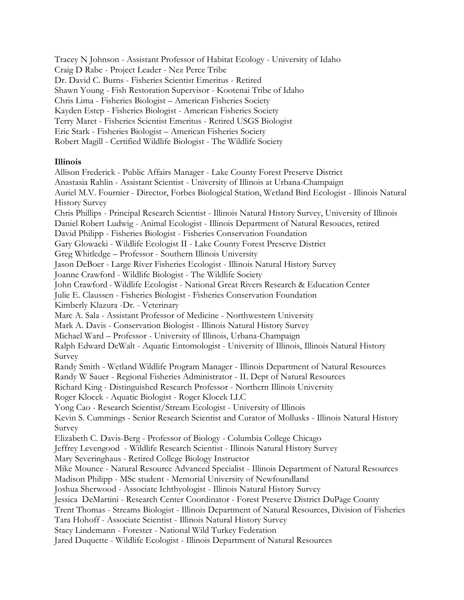Tracey N Johnson - Assistant Professor of Habitat Ecology - University of Idaho Craig D Rabe - Project Leader - Nez Perce Tribe Dr. David C. Burns - Fisheries Scientist Emeritus - Retired Shawn Young - Fish Restoration Supervisor - Kootenai Tribe of Idaho Chris Lima - Fisheries Biologist – American Fisheries Society Kayden Estep - Fisheries Biologist - American Fisheries Society Terry Maret - Fisheries Scientist Emeritus - Retired USGS Biologist Eric Stark - Fisheries Biologist – American Fisheries Society Robert Magill - Certified Wildlife Biologist - The Wildlife Society

## **Illinois**

Allison Frederick - Public Affairs Manager - Lake County Forest Preserve District Anastasia Rahlin - Assistant Scientist - University of Illinois at Urbana-Champaign Auriel M.V. Fournier - Director, Forbes Biological Station, Wetland Bird Ecologist - Illinois Natural History Survey Chris Phillips - Principal Research Scientist - Illinois Natural History Survey, University of Illinois Daniel Robert Ludwig - Animal Ecologist - Illinois Department of Natural Resouces, retired David Philipp - Fisheries Biologist - Fisheries Conservation Foundation Gary Glowacki - Wildlife Ecologist II - Lake County Forest Preserve District Greg Whitledge – Professor - Southern Illinois University Jason DeBoer - Large River Fisheries Ecologist - Illinois Natural History Survey Joanne Crawford - Wildlife Biologist - The Wildlife Society John Crawford - Wildlife Ecologist - National Great Rivers Research & Education Center Julie E. Claussen - Fisheries Biologist - Fisheries Conservation Foundation Kimberly Klazura -Dr. - Veterinary Marc A. Sala - Assistant Professor of Medicine - Northwestern University Mark A. Davis - Conservation Biologist - Illinois Natural History Survey Michael Ward – Professor - University of Illinois, Urbana-Champaign Ralph Edward DeWalt - Aquatic Entomologist - University of Illinois, Illinois Natural History Survey Randy Smith - Wetland Wildlife Program Manager - Illinois Department of Natural Resources Randy W Sauer - Regional Fisheries Administrator - IL Dept of Natural Resources Richard King - Distinguished Research Professor - Northern Illinois University Roger Klocek - Aquatic Biologist - Roger Klocek LLC Yong Cao - Research Scientist/Stream Ecologist - University of Illinois Kevin S. Cummings - Senior Research Scientist and Curator of Mollusks - Illinois Natural History Survey Elizabeth C. Davis-Berg - Professor of Biology - Columbia College Chicago Jeffrey Levengood - Wildlife Research Scientist - Illinois Natural History Survey Mary Severinghaus - Retired College Biology Instructor Mike Mounce - Natural Resource Advanced Specialist - Illinois Department of Natural Resources Madison Philipp - MSc student - Memorial University of Newfoundland Joshua Sherwood - Associate Ichthyologist - Illinois Natural History Survey Jessica DeMartini - Research Center Coordinator - Forest Preserve District DuPage County Trent Thomas - Streams Biologist - Illinois Department of Natural Resources, Division of Fisheries Tara Hohoff - Associate Scientist - Illinois Natural History Survey Stacy Lindemann - Forester - National Wild Turkey Federation Jared Duquette - Wildlife Ecologist - Illinois Department of Natural Resources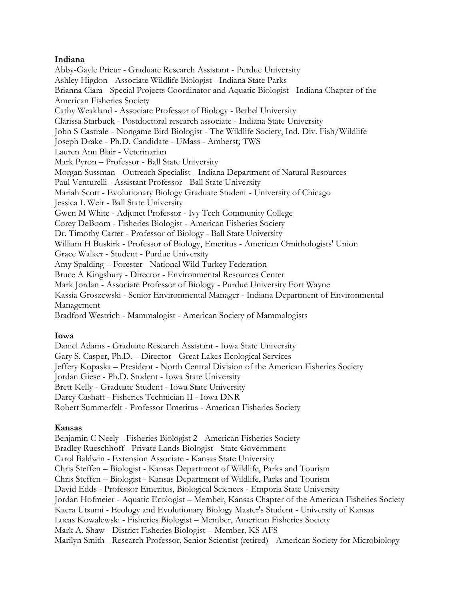## **Indiana**

Abby-Gayle Prieur - Graduate Research Assistant - Purdue University Ashley Higdon - Associate Wildlife Biologist - Indiana State Parks Brianna Ciara - Special Projects Coordinator and Aquatic Biologist - Indiana Chapter of the American Fisheries Society Cathy Weakland - Associate Professor of Biology - Bethel University Clarissa Starbuck - Postdoctoral research associate - Indiana State University John S Castrale - Nongame Bird Biologist - The Wildlife Society, Ind. Div. Fish/Wildlife Joseph Drake - Ph.D. Candidate - UMass - Amherst; TWS Lauren Ann Blair - Veterinarian Mark Pyron – Professor - Ball State University Morgan Sussman - Outreach Specialist - Indiana Department of Natural Resources Paul Venturelli - Assistant Professor - Ball State University Mariah Scott - Evolutionary Biology Graduate Student - University of Chicago Jessica L Weir - Ball State University Gwen M White - Adjunct Professor - Ivy Tech Community College Corey DeBoom - Fisheries Biologist - American Fisheries Society Dr. Timothy Carter - Professor of Biology - Ball State University William H Buskirk - Professor of Biology, Emeritus - American Ornithologists' Union Grace Walker - Student - Purdue University Amy Spalding – Forester - National Wild Turkey Federation Bruce A Kingsbury - Director - Environmental Resources Center Mark Jordan - Associate Professor of Biology - Purdue University Fort Wayne Kassia Groszewski - Senior Environmental Manager - Indiana Department of Environmental Management Bradford Westrich - Mammalogist - American Society of Mammalogists

# **Iowa**

Daniel Adams - Graduate Research Assistant - Iowa State University Gary S. Casper, Ph.D. – Director - Great Lakes Ecological Services Jeffery Kopaska – President - North Central Division of the American Fisheries Society Jordan Giese - Ph.D. Student - Iowa State University Brett Kelly - Graduate Student - Iowa State University Darcy Cashatt - Fisheries Technician II - Iowa DNR Robert Summerfelt - Professor Emeritus - American Fisheries Society

# **Kansas**

Benjamin C Neely - Fisheries Biologist 2 - American Fisheries Society Bradley Rueschhoff - Private Lands Biologist - State Government Carol Baldwin - Extension Associate - Kansas State University Chris Steffen – Biologist - Kansas Department of Wildlife, Parks and Tourism Chris Steffen – Biologist - Kansas Department of Wildlife, Parks and Tourism David Edds - Professor Emeritus, Biological Sciences - Emporia State University Jordan Hofmeier - Aquatic Ecologist – Member, Kansas Chapter of the American Fisheries Society Kaera Utsumi - Ecology and Evolutionary Biology Master's Student - University of Kansas Lucas Kowalewski - Fisheries Biologist – Member, American Fisheries Society Mark A. Shaw - District Fisheries Biologist – Member, KS AFS Marilyn Smith - Research Professor, Senior Scientist (retired) - American Society for Microbiology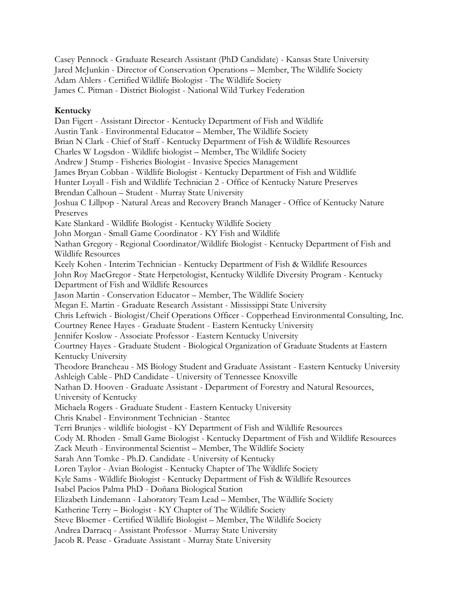Casey Pennock - Graduate Research Assistant (PhD Candidate) - Kansas State University Jared McJunkin - Director of Conservation Operations – Member, The Wildlife Society Adam Ahlers - Certified Wildlife Biologist - The Wildlife Society James C. Pitman - District Biologist - National Wild Turkey Federation

# **Kentucky**

Dan Figert - Assistant Director - Kentucky Department of Fish and Wildlife Austin Tank - Environmental Educator – Member, The Wildlife Society Brian N Clark - Chief of Staff - Kentucky Department of Fish & Wildlife Resources Charles W Logsdon - Wildlife biologist – Member, The Wildlife Society Andrew J Stump - Fisheries Biologist - Invasive Species Management James Bryan Cobban - Wildlife Biologist - Kentucky Department of Fish and Wildlife Hunter Loyall - Fish and Wildlife Technician 2 - Office of Kentucky Nature Preserves Brendan Calhoun – Student - Murray State University Joshua C Lillpop - Natural Areas and Recovery Branch Manager - Office of Kentucky Nature Preserves Kate Slankard - Wildlife Biologist - Kentucky Wildlife Society John Morgan - Small Game Coordinator - KY Fish and Wildlife Nathan Gregory - Regional Coordinator/Wildlife Biologist - Kentucky Department of Fish and Wildlife Resources Keely Kohen - Interim Technician - Kentucky Department of Fish & Wildlife Resources John Roy MacGregor - State Herpetologist, Kentucky Wildlife Diversity Program - Kentucky Department of Fish and Wildlife Resources Jason Martin - Conservation Educator – Member, The Wildlife Society Megan E. Martin - Graduate Research Assistant - Mississippi State University Chris Leftwich - Biologist/Cheif Operations Officer - Copperhead Environmental Consulting, Inc. Courtney Renee Hayes - Graduate Student - Eastern Kentucky University Jennifer Koslow - Associate Professor - Eastern Kentucky University Courtney Hayes - Graduate Student - Biological Organization of Graduate Students at Eastern Kentucky University Theodore Brancheau - MS Biology Student and Graduate Assistant - Eastern Kentucky University Ashleigh Cable - PhD Candidate - University of Tennessee Knoxville Nathan D. Hooven - Graduate Assistant - Department of Forestry and Natural Resources, University of Kentucky Michaela Rogers - Graduate Student - Eastern Kentucky University Chris Knabel - Environment Technician - Stantec Terri Brunjes - wildlife biologist - KY Department of Fish and Wildlife Resources Cody M. Rhoden - Small Game Biologist - Kentucky Department of Fish and Wildlife Resources Zack Meuth - Environmental Scientist – Member, The Wildlife Society Sarah Ann Tomke - Ph.D. Candidate - University of Kentucky Loren Taylor - Avian Biologist - Kentucky Chapter of The Wildlife Society Kyle Sams - Wildlife Biologist - Kentucky Department of Fish & Wildlife Resources Isabel Pacios Palma PhD - Doñana Biological Station Elizabeth Lindemann - Laboratory Team Lead – Member, The Wildlife Society Katherine Terry – Biologist - KY Chapter of The Wildlife Society Steve Bloemer - Certified Wildlife Biologist – Member, The Wildlife Society Andrea Darracq - Assistant Professor - Murray State University Jacob R. Pease - Graduate Assistant - Murray State University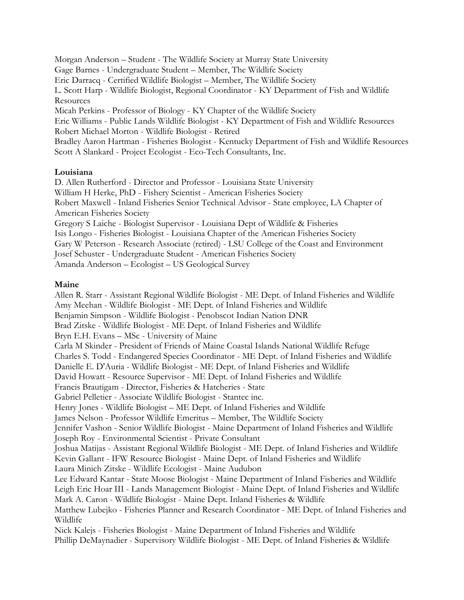Morgan Anderson – Student - The Wildlife Society at Murray State University Gage Barnes - Undergraduate Student – Member, The Wildlife Society Eric Darracq - Certified Wildlife Biologist – Member, The Wildlife Society L. Scott Harp - Wildlife Biologist, Regional Coordinator - KY Department of Fish and Wildlife Resources Micah Perkins - Professor of Biology - KY Chapter of the Wildlife Society Eric Williams - Public Lands Wildlife Biologist - KY Department of Fish and Wildlife Resources Robert Michael Morton - Wildlife Biologist - Retired Bradley Aaron Hartman - Fisheries Biologist - Kentucky Department of Fish and Wildlife Resources Scott A Slankard - Project Ecologist - Eco-Tech Consultants, Inc.

## **Louisiana**

D. Allen Rutherford - Director and Professor - Louisiana State University William H Herke, PhD - Fishery Scientist - American Fisheries Society Robert Maxwell - Inland Fisheries Senior Technical Advisor - State employee, LA Chapter of American Fisheries Society Gregory S Laiche - Biologist Supervisor - Louisiana Dept of Wildlife & Fisheries Isis Longo - Fisheries Biologist - Louisiana Chapter of the American Fisheries Society Gary W Peterson - Research Associate (retired) - LSU College of the Coast and Environment Josef Schuster - Undergraduate Student - American Fisheries Society Amanda Anderson – Ecologist – US Geological Survey

# **Maine**

Allen R. Starr - Assistant Regional Wildlife Biologist - ME Dept. of Inland Fisheries and Wildlife Amy Meehan - Wildlife Biologist - ME Dept. of Inland Fisheries and Wildlife Benjamin Simpson - Wildlife Biologist - Penobscot Indian Nation DNR Brad Zitske - Wildlife Biologist - ME Dept. of Inland Fisheries and Wildlife Bryn E.H. Evans – MSc - University of Maine Carla M Skinder - President of Friends of Maine Coastal Islands National Wildlife Refuge Charles S. Todd - Endangered Species Coordinator - ME Dept. of Inland Fisheries and Wildlife Danielle E. D'Auria - Wildlife Biologist - ME Dept. of Inland Fisheries and Wildlife David Howatt - Resource Supervisor - ME Dept. of Inland Fisheries and Wildlife Francis Brautigam - Director, Fisheries & Hatcheries - State Gabriel Pelletier - Associate Wildlife Biologist - Stantec inc. Henry Jones - Wildlife Biologist – ME Dept. of Inland Fisheries and Wildlife James Nelson - Professor Wildlife Emeritus – Member, The Wildlife Society Jennifer Vashon - Senior Wildlife Biologist - Maine Department of Inland Fisheries and Wildlife Joseph Roy - Environmental Scientist - Private Consultant Joshua Matijas - Assistant Regional Wildlife Biologist - ME Dept. of Inland Fisheries and Wildlife Kevin Gallant - IFW Resource Biologist - Maine Dept. of Inland Fisheries and Wildlife Laura Minich Zitske - Wildlife Ecologist - Maine Audubon Lee Edward Kantar - State Moose Biologist - Maine Department of Inland Fisheries and Wildlife Leigh Eric Hoar III - Lands Management Biologist - Maine Dept. of Inland Fisheries and Wildlife Mark A. Caron - Wildlife Biologist - Maine Dept. Inland Fisheries & Wildlife Matthew Lubejko - Fisheries Planner and Research Coordinator - ME Dept. of Inland Fisheries and Wildlife Nick Kalejs - Fisheries Biologist - Maine Department of Inland Fisheries and Wildlife Phillip DeMaynadier - Supervisory Wildlife Biologist - ME Dept. of Inland Fisheries & Wildlife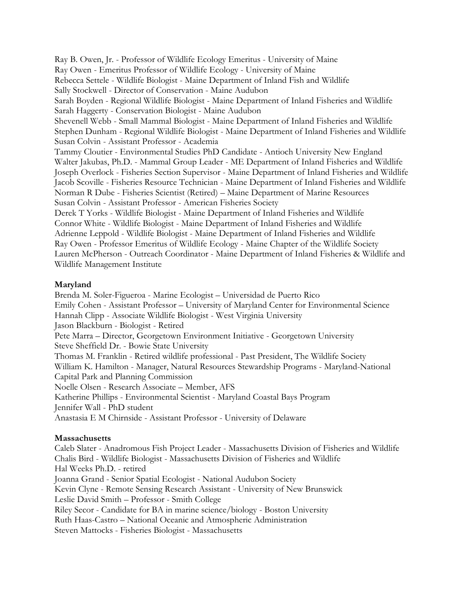Ray B. Owen, Jr. - Professor of Wildlife Ecology Emeritus - University of Maine Ray Owen - Emeritus Professor of Wildlife Ecology - University of Maine Rebecca Settele - Wildlife Biologist - Maine Department of Inland Fish and Wildlife Sally Stockwell - Director of Conservation - Maine Audubon Sarah Boyden - Regional Wildlife Biologist - Maine Department of Inland Fisheries and Wildlife Sarah Haggerty - Conservation Biologist - Maine Audubon Shevenell Webb - Small Mammal Biologist - Maine Department of Inland Fisheries and Wildlife Stephen Dunham - Regional Wildlife Biologist - Maine Department of Inland Fisheries and Wildlife Susan Colvin - Assistant Professor - Academia Tammy Cloutier - Environmental Studies PhD Candidate - Antioch University New England Walter Jakubas, Ph.D. - Mammal Group Leader - ME Department of Inland Fisheries and Wildlife Joseph Overlock - Fisheries Section Supervisor - Maine Department of Inland Fisheries and Wildlife Jacob Scoville - Fisheries Resource Technician - Maine Department of Inland Fisheries and Wildlife Norman R Dube - Fisheries Scientist (Retired) – Maine Department of Marine Resources Susan Colvin - Assistant Professor - American Fisheries Society Derek T Yorks - Wildlife Biologist - Maine Department of Inland Fisheries and Wildlife Connor White - Wildlife Biologist - Maine Department of Inland Fisheries and Wildlife Adrienne Leppold - Wildlife Biologist - Maine Department of Inland Fisheries and Wildlife Ray Owen - Professor Emeritus of Wildlife Ecology - Maine Chapter of the Wildlife Society Lauren McPherson - Outreach Coordinator - Maine Department of Inland Fisheries & Wildlife and Wildlife Management Institute

# **Maryland**

Brenda M. Soler-Figueroa - Marine Ecologist – Universidad de Puerto Rico Emily Cohen - Assistant Professor – University of Maryland Center for Environmental Science Hannah Clipp - Associate Wildlife Biologist - West Virginia University Jason Blackburn - Biologist - Retired Pete Marra – Director, Georgetown Environment Initiative - Georgetown University Steve Sheffield Dr. - Bowie State University Thomas M. Franklin - Retired wildlife professional - Past President, The Wildlife Society William K. Hamilton - Manager, Natural Resources Stewardship Programs - Maryland-National Capital Park and Planning Commission Noelle Olsen - Research Associate – Member, AFS Katherine Phillips - Environmental Scientist - Maryland Coastal Bays Program Jennifer Wall - PhD student Anastasia E M Chirnside - Assistant Professor - University of Delaware

#### **Massachusetts**

Caleb Slater - Anadromous Fish Project Leader - Massachusetts Division of Fisheries and Wildlife Chalis Bird - Wildlife Biologist - Massachusetts Division of Fisheries and Wildlife Hal Weeks Ph.D. - retired Joanna Grand - Senior Spatial Ecologist - National Audubon Society Kevin Clyne - Remote Sensing Research Assistant - University of New Brunswick Leslie David Smith – Professor - Smith College Riley Secor - Candidate for BA in marine science/biology - Boston University Ruth Haas-Castro – National Oceanic and Atmospheric Administration Steven Mattocks - Fisheries Biologist - Massachusetts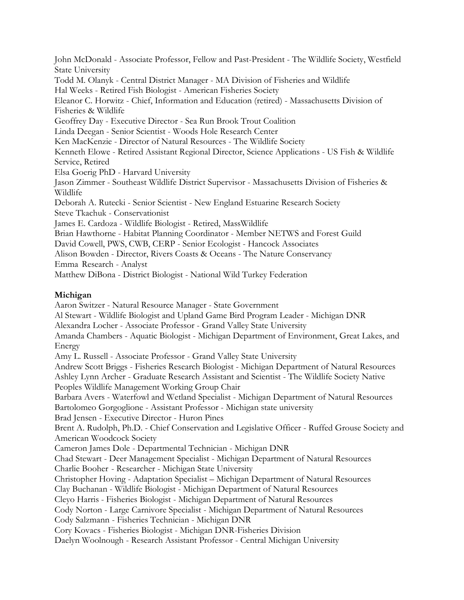John McDonald - Associate Professor, Fellow and Past-President - The Wildlife Society, Westfield State University Todd M. Olanyk - Central District Manager - MA Division of Fisheries and Wildlife Hal Weeks - Retired Fish Biologist - American Fisheries Society Eleanor C. Horwitz - Chief, Information and Education (retired) - Massachusetts Division of Fisheries & Wildlife Geoffrey Day - Executive Director - Sea Run Brook Trout Coalition Linda Deegan - Senior Scientist - Woods Hole Research Center Ken MacKenzie - Director of Natural Resources - The Wildlife Society Kenneth Elowe - Retired Assistant Regional Director, Science Applications - US Fish & Wildlife Service, Retired Elsa Goerig PhD - Harvard University Jason Zimmer - Southeast Wildlife District Supervisor - Massachusetts Division of Fisheries & Wildlife Deborah A. Rutecki - Senior Scientist - New England Estuarine Research Society Steve Tkachuk - Conservationist James E. Cardoza - Wildlife Biologist - Retired, MassWildlife Brian Hawthorne - Habitat Planning Coordinator - Member NETWS and Forest Guild David Cowell, PWS, CWB, CERP - Senior Ecologist - Hancock Associates Alison Bowden - Director, Rivers Coasts & Oceans - The Nature Conservancy Emma Research - Analyst Matthew DiBona - District Biologist - National Wild Turkey Federation **Michigan** Aaron Switzer - Natural Resource Manager - State Government Al Stewart - Wildlife Biologist and Upland Game Bird Program Leader - Michigan DNR Alexandra Locher - Associate Professor - Grand Valley State University Amanda Chambers - Aquatic Biologist - Michigan Department of Environment, Great Lakes, and Energy Amy L. Russell - Associate Professor - Grand Valley State University Andrew Scott Briggs - Fisheries Research Biologist - Michigan Department of Natural Resources Ashley Lynn Archer - Graduate Research Assistant and Scientist - The Wildlife Society Native Peoples Wildlife Management Working Group Chair Barbara Avers - Waterfowl and Wetland Specialist - Michigan Department of Natural Resources Bartolomeo Gorgoglione - Assistant Professor - Michigan state university

Brad Jensen - Executive Director - Huron Pines

Brent A. Rudolph, Ph.D. - Chief Conservation and Legislative Officer - Ruffed Grouse Society and American Woodcock Society

Cameron James Dole - Departmental Technician - Michigan DNR

Chad Stewart - Deer Management Specialist - Michigan Department of Natural Resources Charlie Booher - Researcher - Michigan State University

Christopher Hoving - Adaptation Specialist – Michigan Department of Natural Resources

Clay Buchanan - Wildlife Biologist - Michigan Department of Natural Resources

Cleyo Harris - Fisheries Biologist - Michigan Department of Natural Resources

Cody Norton - Large Carnivore Specialist - Michigan Department of Natural Resources

Cody Salzmann - Fisheries Technician - Michigan DNR

Cory Kovacs - Fisheries Biologist - Michigan DNR-Fisheries Division

Daelyn Woolnough - Research Assistant Professor - Central Michigan University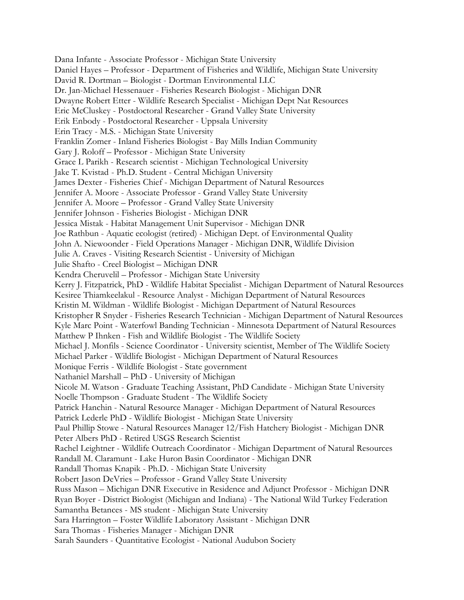Dana Infante - Associate Professor - Michigan State University Daniel Hayes – Professor - Department of Fisheries and Wildlife, Michigan State University David R. Dortman – Biologist - Dortman Environmental LLC Dr. Jan-Michael Hessenauer - Fisheries Research Biologist - Michigan DNR Dwayne Robert Etter - Wildlife Research Specialist - Michigan Dept Nat Resources Eric McCluskey - Postdoctoral Researcher - Grand Valley State University Erik Enbody - Postdoctoral Researcher - Uppsala University Erin Tracy - M.S. - Michigan State University Franklin Zomer - Inland Fisheries Biologist - Bay Mills Indian Community Gary J. Roloff – Professor - Michigan State University Grace L Parikh - Research scientist - Michigan Technological University Jake T. Kvistad - Ph.D. Student - Central Michigan University James Dexter - Fisheries Chief - Michigan Department of Natural Resources Jennifer A. Moore - Associate Professor - Grand Valley State University Jennifer A. Moore – Professor - Grand Valley State University Jennifer Johnson - Fisheries Biologist - Michigan DNR Jessica Mistak - Habitat Management Unit Supervisor - Michigan DNR Joe Rathbun - Aquatic ecologist (retired) - Michigan Dept. of Environmental Quality John A. Niewoonder - Field Operations Manager - Michigan DNR, Wildlife Division Julie A. Craves - Visiting Research Scientist - University of Michigan Julie Shafto - Creel Biologist – Michigan DNR Kendra Cheruvelil – Professor - Michigan State University Kerry J. Fitzpatrick, PhD - Wildlife Habitat Specialist - Michigan Department of Natural Resources Kesiree Thiamkeelakul - Resource Analyst - Michigan Department of Natural Resources Kristin M. Wildman - Wildlife Biologist - Michigan Department of Natural Resources Kristopher R Snyder - Fisheries Research Technician - Michigan Department of Natural Resources Kyle Marc Point - Waterfowl Banding Technician - Minnesota Department of Natural Resources Matthew P Ihnken - Fish and Wildlife Biologist - The Wildlife Society Michael J. Monfils - Science Coordinator - University scientist, Member of The Wildlife Society Michael Parker - Wildlife Biologist - Michigan Department of Natural Resources Monique Ferris - Wildlife Biologist - State government Nathaniel Marshall – PhD - University of Michigan Nicole M. Watson - Graduate Teaching Assistant, PhD Candidate - Michigan State University Noelle Thompson - Graduate Student - The Wildlife Society Patrick Hanchin - Natural Resource Manager - Michigan Department of Natural Resources Patrick Lederle PhD - Wildlife Biologist - Michigan State University Paul Phillip Stowe - Natural Resources Manager 12/Fish Hatchery Biologist - Michigan DNR Peter Albers PhD - Retired USGS Research Scientist Rachel Leightner - Wildlife Outreach Coordinator - Michigan Department of Natural Resources Randall M. Claramunt - Lake Huron Basin Coordinator - Michigan DNR Randall Thomas Knapik - Ph.D. - Michigan State University Robert Jason DeVries – Professor - Grand Valley State University Russ Mason – Michigan DNR Executive in Residence and Adjunct Professor - Michigan DNR Ryan Boyer - District Biologist (Michigan and Indiana) - The National Wild Turkey Federation Samantha Betances - MS student - Michigan State University Sara Harrington – Foster Wildlife Laboratory Assistant - Michigan DNR Sara Thomas - Fisheries Manager - Michigan DNR Sarah Saunders - Quantitative Ecologist - National Audubon Society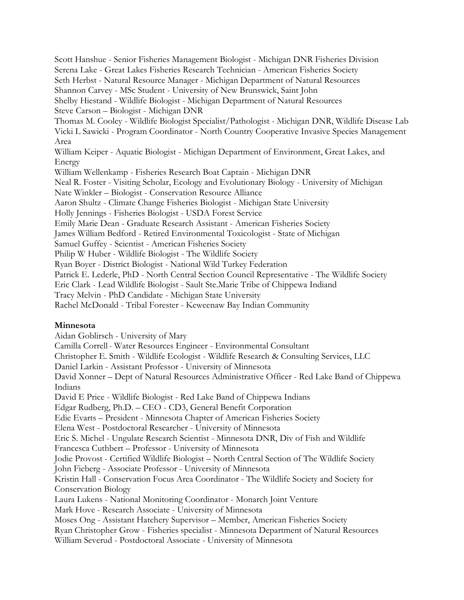Scott Hanshue - Senior Fisheries Management Biologist - Michigan DNR Fisheries Division Serena Lake - Great Lakes Fisheries Research Technician - American Fisheries Society Seth Herbst - Natural Resource Manager - Michigan Department of Natural Resources Shannon Carvey - MSc Student - University of New Brunswick, Saint John Shelby Hiestand - Wildlife Biologist - Michigan Department of Natural Resources Steve Carson – Biologist - Michigan DNR Thomas M. Cooley - Wildlife Biologist Specialist/Pathologist - Michigan DNR, Wildlife Disease Lab Vicki L Sawicki - Program Coordinator - North Country Cooperative Invasive Species Management Area William Keiper - Aquatic Biologist - Michigan Department of Environment, Great Lakes, and Energy William Wellenkamp - Fisheries Research Boat Captain - Michigan DNR Neal R. Foster - Visiting Scholar, Ecology and Evolutionary Biology - University of Michigan Nate Winkler – Biologist - Conservation Resource Alliance Aaron Shultz - Climate Change Fisheries Biologist - Michigan State University Holly Jennings - Fisheries Biologist - USDA Forest Service Emily Marie Dean - Graduate Research Assistant - American Fisheries Society James William Bedford - Retired Environmental Toxicologist - State of Michigan Samuel Guffey - Scientist - American Fisheries Society Philip W Huber - Wildlife Biologist - The Wildlife Society Ryan Boyer - District Biologist - National Wild Turkey Federation Patrick E. Lederle, PhD - North Central Section Council Representative - The Wildlife Society Eric Clark - Lead Wildlife Biologist - Sault Ste.Marie Tribe of Chippewa Indiand Tracy Melvin - PhD Candidate - Michigan State University Rachel McDonald - Tribal Forester - Keweenaw Bay Indian Community

# **Minnesota**

Aidan Goblirsch - University of Mary Camilla Correll- Water Resources Engineer - Environmental Consultant Christopher E. Smith - Wildlife Ecologist - Wildlife Research & Consulting Services, LLC Daniel Larkin - Assistant Professor - University of Minnesota David Xonner – Dept of Natural Resources Administrative Officer - Red Lake Band of Chippewa Indians

David E Price - Wildlife Biologist - Red Lake Band of Chippewa Indians Edgar Rudberg, Ph.D. – CEO - CD3, General Benefit Corporation Edie Evarts – President - Minnesota Chapter of American Fisheries Society Elena West - Postdoctoral Researcher - University of Minnesota Eric S. Michel - Ungulate Research Scientist - Minnesota DNR, Div of Fish and Wildlife Francesca Cuthbert – Professor - University of Minnesota Jodie Provost - Certified Wildlife Biologist – North Central Section of The Wildlife Society John Fieberg - Associate Professor - University of Minnesota Kristin Hall - Conservation Focus Area Coordinator - The Wildlife Society and Society for Conservation Biology Laura Lukens - National Monitoring Coordinator - Monarch Joint Venture Mark Hove - Research Associate - University of Minnesota Moses Ong - Assistant Hatchery Supervisor – Member, American Fisheries Society Ryan Christopher Grow - Fisheries specialist - Minnesota Department of Natural Resources William Severud - Postdoctoral Associate - University of Minnesota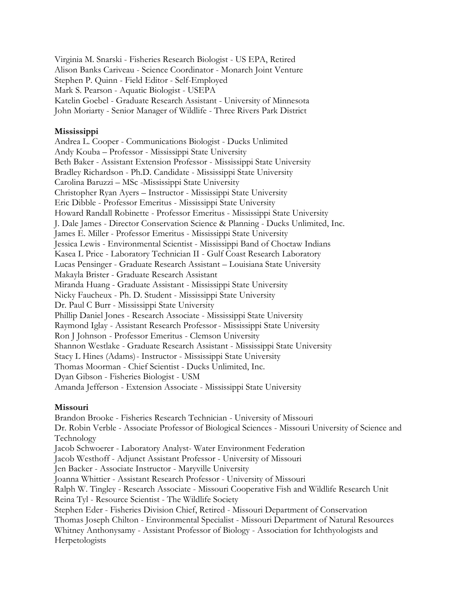Virginia M. Snarski - Fisheries Research Biologist - US EPA, Retired Alison Banks Cariveau - Science Coordinator - Monarch Joint Venture Stephen P. Quinn - Field Editor - Self-Employed Mark S. Pearson - Aquatic Biologist - USEPA Katelin Goebel - Graduate Research Assistant - University of Minnesota John Moriarty - Senior Manager of Wildlife - Three Rivers Park District

## **Mississippi**

Andrea L. Cooper - Communications Biologist - Ducks Unlimited Andy Kouba – Professor - Mississippi State University Beth Baker - Assistant Extension Professor - Mississippi State University Bradley Richardson - Ph.D. Candidate - Mississippi State University Carolina Baruzzi – MSc -Mississippi State University Christopher Ryan Ayers – Instructor - Mississippi State University Eric Dibble - Professor Emeritus - Mississippi State University Howard Randall Robinette - Professor Emeritus - Mississippi State University J. Dale James - Director Conservation Science & Planning - Ducks Unlimited, Inc. James E. Miller - Professor Emeritus - Mississippi State University Jessica Lewis - Environmental Scientist - Mississippi Band of Choctaw Indians Kasea L Price - Laboratory Technician II - Gulf Coast Research Laboratory Lucas Pensinger - Graduate Research Assistant – Louisiana State University Makayla Brister - Graduate Research Assistant Miranda Huang - Graduate Assistant - Mississippi State University Nicky Faucheux - Ph. D. Student - Mississippi State University Dr. Paul C Burr - Mississippi State University Phillip Daniel Jones - Research Associate - Mississippi State University Raymond Iglay - Assistant Research Professor- Mississippi State University Ron J Johnson - Professor Emeritus - Clemson University Shannon Westlake - Graduate Research Assistant - Mississippi State University Stacy L Hines (Adams)- Instructor - Mississippi State University Thomas Moorman - Chief Scientist - Ducks Unlimited, Inc. Dyan Gibson - Fisheries Biologist - USM Amanda Jefferson - Extension Associate - Mississippi State University

#### **Missouri**

Brandon Brooke - Fisheries Research Technician - University of Missouri Dr. Robin Verble - Associate Professor of Biological Sciences - Missouri University of Science and Technology Jacob Schwoerer - Laboratory Analyst- Water Environment Federation Jacob Westhoff - Adjunct Assistant Professor - University of Missouri Jen Backer - Associate Instructor - Maryville University Joanna Whittier - Assistant Research Professor - University of Missouri Ralph W. Tingley - Research Associate - Missouri Cooperative Fish and Wildlife Research Unit Reina Tyl - Resource Scientist - The Wildlife Society Stephen Eder - Fisheries Division Chief, Retired - Missouri Department of Conservation Thomas Joseph Chilton - Environmental Specialist - Missouri Department of Natural Resources Whitney Anthonysamy - Assistant Professor of Biology - Association for Ichthyologists and Herpetologists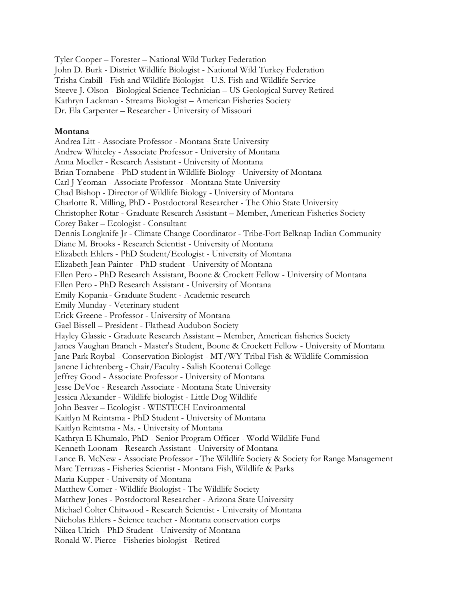Tyler Cooper – Forester – National Wild Turkey Federation John D. Burk - District Wildlife Biologist - National Wild Turkey Federation Trisha Crabill - Fish and Wildlife Biologist - U.S. Fish and Wildlife Service Steeve J. Olson - Biological Science Technician – US Geological Survey Retired Kathryn Lackman - Streams Biologist – American Fisheries Society Dr. Ela Carpenter – Researcher - University of Missouri

#### **Montana**

Andrea Litt - Associate Professor - Montana State University Andrew Whiteley - Associate Professor - University of Montana Anna Moeller - Research Assistant - University of Montana Brian Tornabene - PhD student in Wildlife Biology - University of Montana Carl J Yeoman - Associate Professor - Montana State University Chad Bishop - Director of Wildlife Biology - University of Montana Charlotte R. Milling, PhD - Postdoctoral Researcher - The Ohio State University Christopher Rotar - Graduate Research Assistant – Member, American Fisheries Society Corey Baker – Ecologist - Consultant Dennis Longknife Jr - Climate Change Coordinator - Tribe-Fort Belknap Indian Community Diane M. Brooks - Research Scientist - University of Montana Elizabeth Ehlers - PhD Student/Ecologist - University of Montana Elizabeth Jean Painter - PhD student - University of Montana Ellen Pero - PhD Research Assistant, Boone & Crockett Fellow - University of Montana Ellen Pero - PhD Research Assistant - University of Montana Emily Kopania - Graduate Student - Academic research Emily Munday - Veterinary student Erick Greene - Professor - University of Montana Gael Bissell – President - Flathead Audubon Society Hayley Glassic - Graduate Research Assistant – Member, American fisheries Society James Vaughan Branch - Master's Student, Boone & Crockett Fellow - University of Montana Jane Park Roybal - Conservation Biologist - MT/WY Tribal Fish & Wildlife Commission Janene Lichtenberg - Chair/Faculty - Salish Kootenai College Jeffrey Good - Associate Professor - University of Montana Jesse DeVoe - Research Associate - Montana State University Jessica Alexander - Wildlife biologist - Little Dog Wildlife John Beaver – Ecologist - WESTECH Environmental Kaitlyn M Reintsma - PhD Student - University of Montana Kaitlyn Reintsma - Ms. - University of Montana Kathryn E Khumalo, PhD - Senior Program Officer - World Wildlife Fund Kenneth Loonam - Research Assistant - University of Montana Lance B. McNew - Associate Professor - The Wildlife Society & Society for Range Management Marc Terrazas - Fisheries Scientist - Montana Fish, Wildlife & Parks Maria Kupper - University of Montana Matthew Comer - Wildlife Biologist - The Wildlife Society Matthew Jones - Postdoctoral Researcher - Arizona State University Michael Colter Chitwood - Research Scientist - University of Montana Nicholas Ehlers - Science teacher - Montana conservation corps Nikea Ulrich - PhD Student - University of Montana Ronald W. Pierce - Fisheries biologist - Retired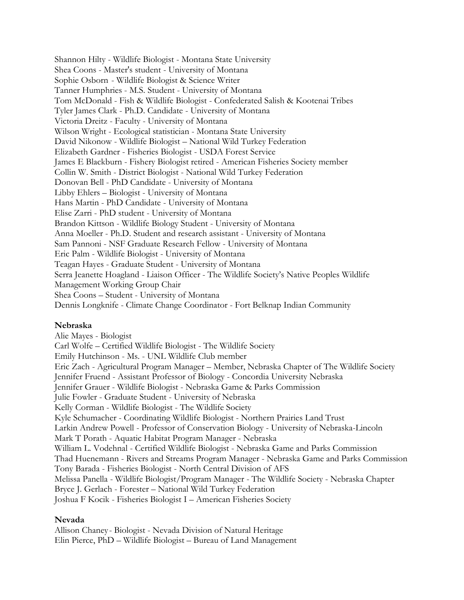Shannon Hilty - Wildlife Biologist - Montana State University Shea Coons - Master's student - University of Montana Sophie Osborn - Wildlife Biologist & Science Writer Tanner Humphries - M.S. Student - University of Montana Tom McDonald - Fish & Wildlife Biologist - Confederated Salish & Kootenai Tribes Tyler James Clark - Ph.D. Candidate - University of Montana Victoria Dreitz - Faculty - University of Montana Wilson Wright - Ecological statistician - Montana State University David Nikonow - Wildlife Biologist – National Wild Turkey Federation Elizabeth Gardner - Fisheries Biologist - USDA Forest Service James E Blackburn - Fishery Biologist retired - American Fisheries Society member Collin W. Smith - District Biologist - National Wild Turkey Federation Donovan Bell - PhD Candidate - University of Montana Libby Ehlers – Biologist - University of Montana Hans Martin - PhD Candidate - University of Montana Elise Zarri - PhD student - University of Montana Brandon Kittson - Wildlife Biology Student - University of Montana Anna Moeller - Ph.D. Student and research assistant - University of Montana Sam Pannoni - NSF Graduate Research Fellow - University of Montana Eric Palm - Wildlife Biologist - University of Montana Teagan Hayes - Graduate Student - University of Montana Serra Jeanette Hoagland - Liaison Officer - The Wildlife Society's Native Peoples Wildlife Management Working Group Chair Shea Coons – Student - University of Montana Dennis Longknife - Climate Change Coordinator - Fort Belknap Indian Community

# **Nebraska**

Alie Mayes - Biologist Carl Wolfe – Certified Wildlife Biologist - The Wildlife Society Emily Hutchinson - Ms. - UNL Wildlife Club member Eric Zach - Agricultural Program Manager – Member, Nebraska Chapter of The Wildlife Society Jennifer Fruend - Assistant Professor of Biology - Concordia University Nebraska Jennifer Grauer - Wildlife Biologist - Nebraska Game & Parks Commission Julie Fowler - Graduate Student - University of Nebraska Kelly Corman - Wildlife Biologist - The Wildlife Society Kyle Schumacher - Coordinating Wildlife Biologist - Northern Prairies Land Trust Larkin Andrew Powell - Professor of Conservation Biology - University of Nebraska-Lincoln Mark T Porath - Aquatic Habitat Program Manager - Nebraska William L. Vodehnal - Certified Wildlife Biologist - Nebraska Game and Parks Commission Thad Huenemann - Rivers and Streams Program Manager - Nebraska Game and Parks Commission Tony Barada - Fisheries Biologist - North Central Division of AFS Melissa Panella - Wildlife Biologist/Program Manager - The Wildlife Society - Nebraska Chapter Bryce J. Gerlach - Forester – National Wild Turkey Federation Joshua F Kocik - Fisheries Biologist I – American Fisheries Society

#### **Nevada**

Allison Chaney - Biologist - Nevada Division of Natural Heritage Elin Pierce, PhD – Wildlife Biologist – Bureau of Land Management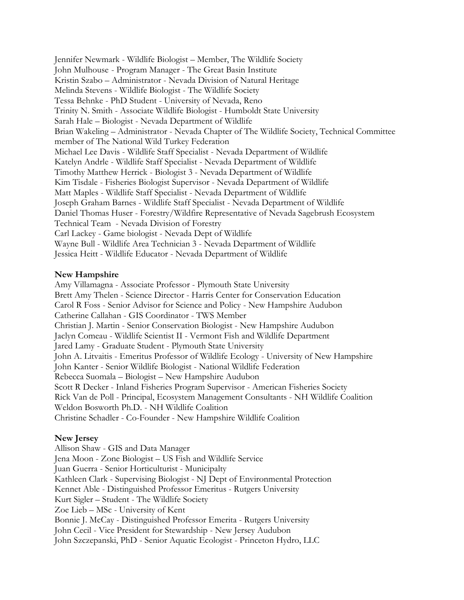Jennifer Newmark - Wildlife Biologist – Member, The Wildlife Society John Mulhouse - Program Manager - The Great Basin Institute Kristin Szabo – Administrator - Nevada Division of Natural Heritage Melinda Stevens - Wildlife Biologist - The Wildlife Society Tessa Behnke - PhD Student - University of Nevada, Reno Trinity N. Smith - Associate Wildlife Biologist - Humboldt State University Sarah Hale – Biologist - Nevada Department of Wildlife Brian Wakeling – Administrator - Nevada Chapter of The Wildlife Society, Technical Committee member of The National Wild Turkey Federation Michael Lee Davis - Wildlife Staff Specialist - Nevada Department of Wildlife Katelyn Andrle - Wildlife Staff Specialist - Nevada Department of Wildlife Timothy Matthew Herrick - Biologist 3 - Nevada Department of Wildlife Kim Tisdale - Fisheries Biologist Supervisor - Nevada Department of Wildlife Matt Maples - Wildlife Staff Specialist - Nevada Department of Wildlife Joseph Graham Barnes - Wildlife Staff Specialist - Nevada Department of Wildlife Daniel Thomas Huser - Forestry/Wildfire Representative of Nevada Sagebrush Ecosystem Technical Team - Nevada Division of Forestry Carl Lackey - Game biologist - Nevada Dept of Wildlife Wayne Bull - Wildlife Area Technician 3 - Nevada Department of Wildlife Jessica Heitt - Wildlife Educator - Nevada Department of Wildlife

## **New Hampshire**

Amy Villamagna - Associate Professor - Plymouth State University Brett Amy Thelen - Science Director - Harris Center for Conservation Education Carol R Foss - Senior Advisor for Science and Policy - New Hampshire Audubon Catherine Callahan - GIS Coordinator - TWS Member Christian J. Martin - Senior Conservation Biologist - New Hampshire Audubon Jaclyn Comeau - Wildlife Scientist II - Vermont Fish and Wildlife Department Jared Lamy - Graduate Student - Plymouth State University John A. Litvaitis - Emeritus Professor of Wildlife Ecology - University of New Hampshire John Kanter - Senior Wildlife Biologist - National Wildlife Federation Rebecca Suomala – Biologist – New Hampshire Audubon Scott R Decker - Inland Fisheries Program Supervisor - American Fisheries Society Rick Van de Poll - Principal, Ecosystem Management Consultants - NH Wildlife Coalition Weldon Bosworth Ph.D. - NH Wildlife Coalition Christine Schadler - Co-Founder - New Hampshire Wildlife Coalition

#### **New Jersey**

Allison Shaw - GIS and Data Manager Jena Moon - Zone Biologist – US Fish and Wildlife Service Juan Guerra - Senior Horticulturist - Municipalty Kathleen Clark - Supervising Biologist - NJ Dept of Environmental Protection Kennet Able - Distinguished Professor Emeritus - Rutgers University Kurt Sigler – Student - The Wildlife Society Zoe Lieb – MSc - University of Kent Bonnie J. McCay - Distinguished Professor Emerita - Rutgers University John Cecil - Vice President for Stewardship - New Jersey Audubon John Szczepanski, PhD - Senior Aquatic Ecologist - Princeton Hydro, LLC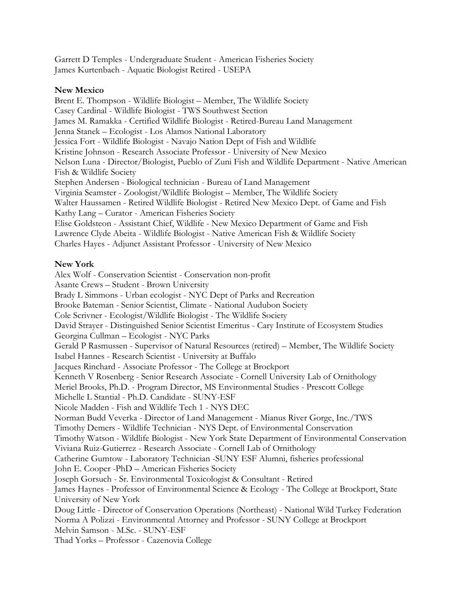Garrett D Temples - Undergraduate Student - American Fisheries Society James Kurtenbach - Aquatic Biologist Retired - USEPA

## **New Mexico**

Brent E. Thompson - Wildlife Biologist – Member, The Wildlife Society Casey Cardinal - Wildlife Biologist - TWS Southwest Section James M. Ramakka - Certified Wildlife Biologist - Retired-Bureau Land Management Jenna Stanek – Ecologist - Los Alamos National Laboratory Jessica Fort - Wildlife Biologist - Navajo Nation Dept of Fish and Wildlife Kristine Johnson - Research Associate Professor - University of New Mexico Nelson Luna - Director/Biologist, Pueblo of Zuni Fish and Wildlife Department - Native American Fish & Wildlife Society Stephen Andersen - Biological technician - Bureau of Land Management Virginia Seamster - Zoologist/Wildlife Biologist – Member, The Wildlife Society Walter Haussamen - Retired Wildlife Biologist - Retired New Mexico Dept. of Game and Fish Kathy Lang – Curator - American Fisheries Society Elise Goldsteon - Assistant Chief, Wildlife - New Mexico Department of Game and Fish Lawrence Clyde Abeita - Wildlife Biologist - Native American Fish & Wildlife Society Charles Hayes - Adjunct Assistant Professor - University of New Mexico

## **New York**

Alex Wolf - Conservation Scientist - Conservation non-profit Asante Crews – Student - Brown University Brady L Simmons - Urban ecologist - NYC Dept of Parks and Recreation Brooke Bateman - Senior Scientist, Climate - National Audubon Society Cole Scrivner - Ecologist/Wildlife Biologist - The Wildlife Society David Strayer - Distinguished Senior Scientist Emeritus - Cary Institute of Ecosystem Studies Georgina Cullman – Ecologist - NYC Parks Gerald P Rasmussen - Supervisor of Natural Resources (retired) – Member, The Wildlife Society Isabel Hannes - Research Scientist - University at Buffalo Jacques Rinchard - Associate Professor - The College at Brockport Kenneth V Rosenberg - Senior Research Associate - Cornell University Lab of Ornithology Meriel Brooks, Ph.D. - Program Director, MS Environmental Studies - Prescott College Michelle L Stantial - Ph.D. Candidate - SUNY-ESF Nicole Madden - Fish and Wildlife Tech 1 - NYS DEC Norman Budd Veverka - Director of Land Management - Mianus River Gorge, Inc./TWS Timothy Demers - Wildlife Technician - NYS Dept. of Environmental Conservation Timothy Watson - Wildlife Biologist - New York State Department of Environmental Conservation Viviana Ruiz-Gutierrez - Research Associate - Cornell Lab of Ornithology Catherine Gumtow - Laboratory Technician -SUNY ESF Alumni, fisheries professional John E. Cooper -PhD – American Fisheries Society Joseph Gorsuch - Sr. Environmental Toxicologist & Consultant - Retired James Haynes - Professor of Environmental Science & Ecology - The College at Brockport, State University of New York Doug Little - Director of Conservation Operations (Northeast) - National Wild Turkey Federation Norma A Polizzi - Environmental Attorney and Professor - SUNY College at Brockport Melvin Samson - M.Sc. - SUNY-ESF Thad Yorks – Professor - Cazenovia College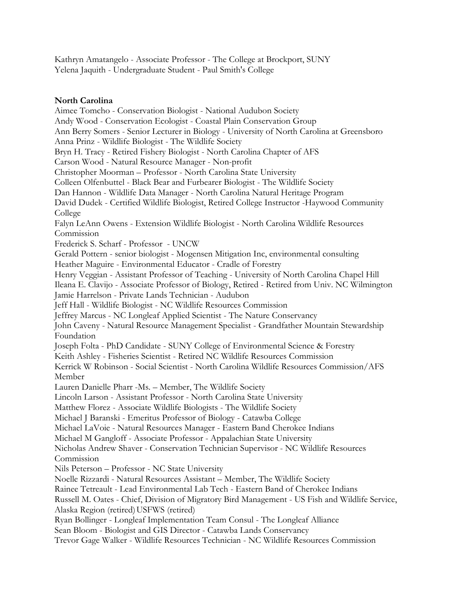Kathryn Amatangelo - Associate Professor - The College at Brockport, SUNY Yelena Jaquith - Undergraduate Student - Paul Smith's College

# **North Carolina**

Aimee Tomcho - Conservation Biologist - National Audubon Society Andy Wood - Conservation Ecologist - Coastal Plain Conservation Group Ann Berry Somers - Senior Lecturer in Biology - University of North Carolina at Greensboro Anna Prinz - Wildlife Biologist - The Wildlife Society Bryn H. Tracy - Retired Fishery Biologist - North Carolina Chapter of AFS Carson Wood - Natural Resource Manager - Non-profit Christopher Moorman – Professor - North Carolina State University Colleen Olfenbuttel - Black Bear and Furbearer Biologist - The Wildlife Society Dan Hannon - Wildlife Data Manager - North Carolina Natural Heritage Program David Dudek - Certified Wildlife Biologist, Retired College Instructor -Haywood Community College Falyn LeAnn Owens - Extension Wildlife Biologist - North Carolina Wildlife Resources Commission Frederick S. Scharf - Professor - UNCW Gerald Pottern - senior biologist - Mogensen Mitigation Inc, environmental consulting Heather Maguire - Environmental Educator - Cradle of Forestry Henry Veggian - Assistant Professor of Teaching - University of North Carolina Chapel Hill Ileana E. Clavijo - Associate Professor of Biology, Retired - Retired from Univ. NC Wilmington Jamie Harrelson - Private Lands Technician - Audubon Jeff Hall - Wildlife Biologist - NC Wildlife Resources Commission Jeffrey Marcus - NC Longleaf Applied Scientist - The Nature Conservancy John Caveny - Natural Resource Management Specialist - Grandfather Mountain Stewardship Foundation Joseph Folta - PhD Candidate - SUNY College of Environmental Science & Forestry Keith Ashley - Fisheries Scientist - Retired NC Wildlife Resources Commission Kerrick W Robinson - Social Scientist - North Carolina Wildlife Resources Commission/AFS Member Lauren Danielle Pharr -Ms. – Member, The Wildlife Society Lincoln Larson - Assistant Professor - North Carolina State University Matthew Florez - Associate Wildlife Biologists - The Wildlife Society Michael J Baranski - Emeritus Professor of Biology - Catawba College Michael LaVoie - Natural Resources Manager - Eastern Band Cherokee Indians Michael M Gangloff - Associate Professor - Appalachian State University Nicholas Andrew Shaver - Conservation Technician Supervisor - NC Wildlife Resources Commission Nils Peterson – Professor - NC State University Noelle Rizzardi - Natural Resources Assistant – Member, The Wildlife Society Rainee Tetreault - Lead Environmental Lab Tech - Eastern Band of Cherokee Indians Russell M. Oates - Chief, Division of Migratory Bird Management - US Fish and Wildlife Service, Alaska Region (retired) USFWS (retired) Ryan Bollinger - Longleaf Implementation Team Consul - The Longleaf Alliance Sean Bloom - Biologist and GIS Director - Catawba Lands Conservancy Trevor Gage Walker - Wildlife Resources Technician - NC Wildlife Resources Commission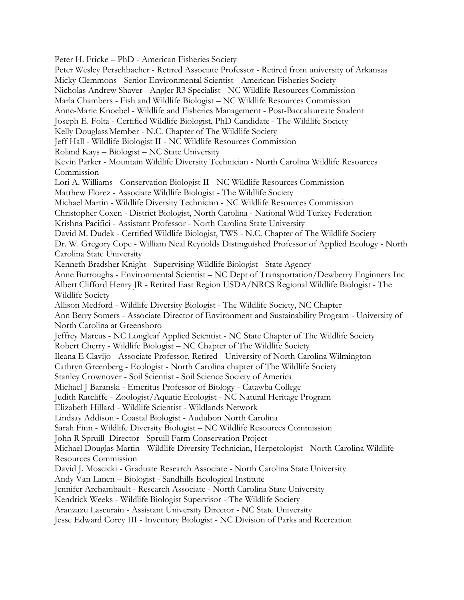Peter H. Fricke – PhD - American Fisheries Society Peter Wesley Perschbacher - Retired Associate Professor - Retired from university of Arkansas Micky Clemmons - Senior Environmental Scientist - American Fisheries Society Nicholas Andrew Shaver - Angler R3 Specialist - NC Wildlife Resources Commission Marla Chambers - Fish and Wildlife Biologist – NC Wildlife Resources Commission Anne-Marie Knoebel - Wildlife and Fisheries Management - Post-Baccalaureate Student Joseph E. Folta - Certified Wildlife Biologist, PhD Candidate - The Wildlife Society Kelly Douglass Member - N.C. Chapter of The Wildlife Society Jeff Hall - Wildlife Biologist II - NC Wildlife Resources Commission Roland Kays – Biologist – NC State University Kevin Parker - Mountain Wildlife Diversity Technician - North Carolina Wildlife Resources Commission Lori A. Williams - Conservation Biologist II - NC Wildlife Resources Commission Matthew Florez - Associate Wildlife Biologist - The Wildlife Society Michael Martin - Wildlife Diversity Technician - NC Wildlife Resources Commission Christopher Coxen - District Biologist, North Carolina - National Wild Turkey Federation Krishna Pacifici - Assistant Professor - North Carolina State University David M. Dudek - Certified Wildlife Biologist, TWS - N.C. Chapter of The Wildlife Society Dr. W. Gregory Cope - William Neal Reynolds Distinguished Professor of Applied Ecology - North Carolina State University Kenneth Bradsher Knight - Supervising Wildlife Biologist - State Agency Anne Burroughs - Environmental Scientist – NC Dept of Transportation/Dewberry Enginners Inc Albert Clifford Henry JR - Retired East Region USDA/NRCS Regional Wildlife Biologist - The Wildlife Society Allison Medford - Wildlife Diversity Biologist - The Wildlife Society, NC Chapter Ann Berry Somers - Associate Director of Environment and Sustainability Program - University of North Carolina at Greensboro Jeffrey Marcus - NC Longleaf Applied Scientist - NC State Chapter of The Wildlife Society Robert Cherry - Wildlife Biologist – NC Chapter of The Wildlife Society Ileana E Clavijo - Associate Professor, Retired - University of North Carolina Wilmington Cathryn Greenberg - Ecologist - North Carolina chapter of The Wildlife Society Stanley Crownover - Soil Scientist - Soil Science Society of America Michael J Baranski - Emeritus Professor of Biology - Catawba College Judith Ratcliffe - Zoologist/Aquatic Ecologist - NC Natural Heritage Program Elizabeth Hillard - Wildlife Scientist - Wildlands Network Lindsay Addison - Coastal Biologist - Audubon North Carolina Sarah Finn - Wildlife Diversity Biologist – NC Wildlife Resources Commission John R Spruill Director - Spruill Farm Conservation Project Michael Douglas Martin - Wildlife Diversity Technician, Herpetologist - North Carolina Wildlife Resources Commission David J. Moscicki - Graduate Research Associate - North Carolina State University Andy Van Lanen – Biologist - Sandhills Ecological Institute Jennifer Archambault - Research Associate - North Carolina State University Kendrick Weeks - Wildlife Biologist Supervisor - The Wildlife Society Aranzazu Lascurain - Assistant University Director - NC State University Jesse Edward Corey III - Inventory Biologist - NC Division of Parks and Recreation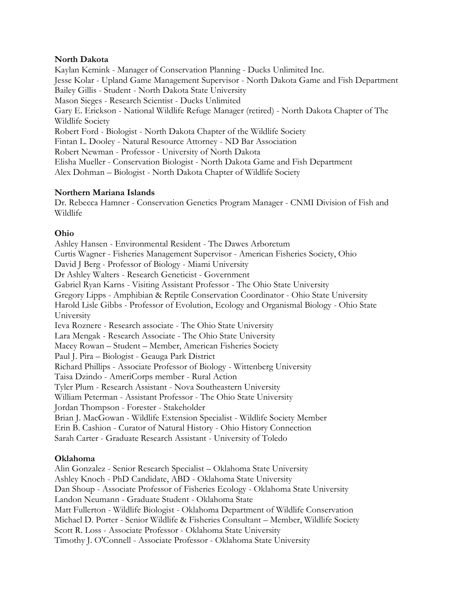## **North Dakota**

Kaylan Kemink - Manager of Conservation Planning - Ducks Unlimited Inc. Jesse Kolar - Upland Game Management Supervisor - North Dakota Game and Fish Department Bailey Gillis - Student - North Dakota State University Mason Sieges - Research Scientist - Ducks Unlimited Gary E. Erickson - National Wildlife Refuge Manager (retired) - North Dakota Chapter of The Wildlife Society Robert Ford - Biologist - North Dakota Chapter of the Wildlife Society Fintan L. Dooley - Natural Resource Attorney - ND Bar Association Robert Newman - Professor - University of North Dakota Elisha Mueller - Conservation Biologist - North Dakota Game and Fish Department Alex Dohman – Biologist - North Dakota Chapter of Wildlife Society

## **Northern Mariana Islands**

Dr. Rebecca Hamner - Conservation Genetics Program Manager - CNMI Division of Fish and Wildlife

# **Ohio**

Ashley Hansen - Environmental Resident - The Dawes Arboretum Curtis Wagner - Fisheries Management Supervisor - American Fisheries Society, Ohio David J Berg - Professor of Biology - Miami University Dr Ashley Walters - Research Geneticist - Government Gabriel Ryan Karns - Visiting Assistant Professor - The Ohio State University Gregory Lipps - Amphibian & Reptile Conservation Coordinator - Ohio State University Harold Lisle Gibbs - Professor of Evolution, Ecology and Organismal Biology - Ohio State University Ieva Roznere - Research associate - The Ohio State University Lara Mengak - Research Associate - The Ohio State University Macey Rowan – Student – Member, American Fisheries Society Paul J. Pira – Biologist - Geauga Park District Richard Phillips - Associate Professor of Biology - Wittenberg University Taisa Dzindo - AmeriCorps member - Rural Action Tyler Plum - Research Assistant - Nova Southeastern University William Peterman - Assistant Professor - The Ohio State University Jordan Thompson - Forester - Stakeholder Brian J. MacGowan - Wildlife Extension Specialist - Wildlife Society Member Erin B. Cashion - Curator of Natural History - Ohio History Connection Sarah Carter - Graduate Research Assistant - University of Toledo

# **Oklahoma**

Alin Gonzalez - Senior Research Specialist – Oklahoma State University Ashley Knoch - PhD Candidate, ABD - Oklahoma State University Dan Shoup - Associate Professor of Fisheries Ecology - Oklahoma State University Landon Neumann - Graduate Student - Oklahoma State Matt Fullerton - Wildlife Biologist - Oklahoma Department of Wildlife Conservation Michael D. Porter - Senior Wildlife & Fisheries Consultant – Member, Wildlife Society Scott R. Loss - Associate Professor - Oklahoma State University Timothy J. O'Connell - Associate Professor - Oklahoma State University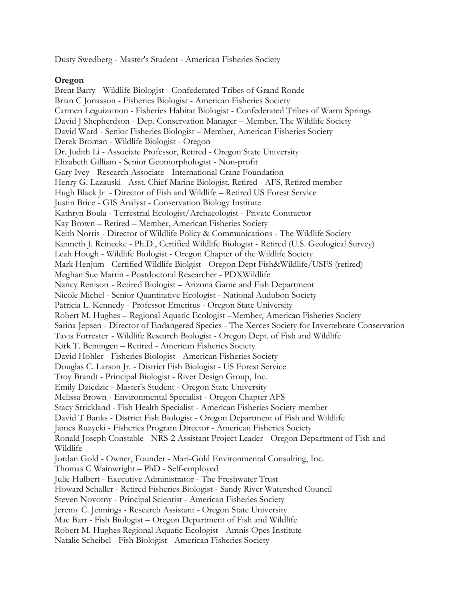Dusty Swedberg - Master's Student - American Fisheries Society

## **Oregon**

Brent Barry - Wildlife Biologist - Confederated Tribes of Grand Ronde Brian C Jonasson - Fisheries Biologist - American Fisheries Society Carmen Leguizamon - Fisheries Habitat Biologist - Confederated Tribes of Warm Springs David J Shepherdson - Dep. Conservation Manager – Member, The Wildlife Society David Ward - Senior Fisheries Biologist – Member, American Fisheries Society Derek Broman - Wildlife Biologist - Oregon Dr. Judith Li - Associate Professor, Retired - Oregon State University Elizabeth Gilliam - Senior Geomorphologist - Non-profit Gary Ivey - Research Associate - International Crane Foundation Henry G. Lazauski - Asst. Chief Marine Biologist, Retired - AFS, Retired member Hugh Black Jr - Director of Fish and Wildlife – Retired US Forest Service Justin Brice - GIS Analyst - Conservation Biology Institute Kathryn Boula - Terrestrial Ecologist/Archaeologist - Private Contractor Kay Brown – Retired – Member, American Fisheries Society Keith Norris - Director of Wildlife Policy & Communications - The Wildlife Society Kenneth J. Reinecke - Ph.D., Certified Wildlife Biologist - Retired (U.S. Geological Survey) Leah Hough - Wildlife Biologist - Oregon Chapter of the Wildlife Society Mark Henjum - Certified Wildlife Biolgist - Oregon Dept Fish&Wildlife/USFS (retired) Meghan Sue Martin - Postdoctoral Researcher - PDXWildlife Nancy Renison - Retired Biologist – Arizona Game and Fish Department Nicole Michel - Senior Quantitative Ecologist - National Audubon Society Patricia L. Kennedy - Professor Emeritus - Oregon State University Robert M. Hughes – Regional Aquatic Ecologist –Member, American Fisheries Society Sarina Jepsen - Director of Endangered Species - The Xerces Society for Invertebrate Conservation Tavis Forrester - Wildlife Research Biologist - Oregon Dept. of Fish and Wildlife Kirk T. Beiningen – Retired - American Fisheries Society David Hohler - Fisheries Biologist - American Fisheries Society Douglas C. Larson Jr. - District Fish Biologist - US Forest Service Troy Brandt - Principal Biologist - River Design Group, Inc. Emily Dziedzic - Master's Student - Oregon State University Melissa Brown - Environmental Specialist - Oregon Chapter AFS Stacy Strickland - Fish Health Specialist - American Fisheries Society member David T Banks - District Fish Biologist - Oregon Department of Fish and Wildlife James Ruzycki - Fisheries Program Director - American Fisheries Society Ronald Joseph Constable - NRS-2 Assistant Project Leader - Oregon Department of Fish and Wildlife Jordan Gold - Owner, Founder - Mari-Gold Environmental Consulting, Inc. Thomas C Wainwright – PhD - Self-employed Julie Hulbert - Executive Administrator - The Freshwater Trust Howard Schaller - Retired Fisheries Biologist - Sandy River Watershed Council Steven Novotny - Principal Scientist - American Fisheries Society Jeremy C. Jennings - Research Assistant - Oregon State University Mac Barr - Fish Biologist – Oregon Department of Fish and Wildlife Robert M. Hughes Regional Aquatic Ecologist - Amnis Opes Institute Natalie Scheibel - Fish Biologist - American Fisheries Society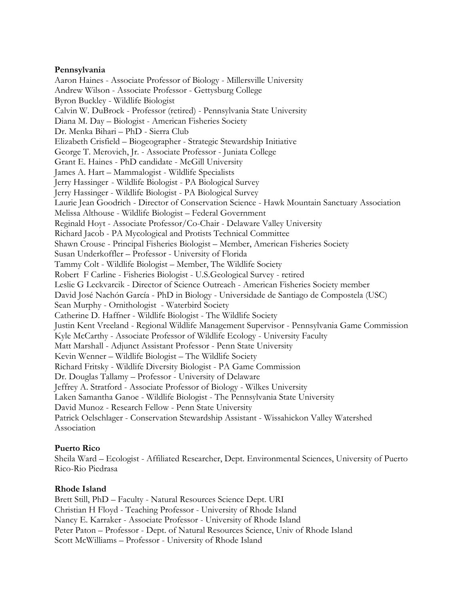## **Pennsylvania**

Aaron Haines - Associate Professor of Biology - Millersville University Andrew Wilson - Associate Professor - Gettysburg College Byron Buckley - Wildlife Biologist Calvin W. DuBrock - Professor (retired) - Pennsylvania State University Diana M. Day – Biologist - American Fisheries Society Dr. Menka Bihari – PhD - Sierra Club Elizabeth Crisfield – Biogeographer - Strategic Stewardship Initiative George T. Merovich, Jr. - Associate Professor - Juniata College Grant E. Haines - PhD candidate - McGill University James A. Hart – Mammalogist - Wildlife Specialists Jerry Hassinger - Wildlife Biologist - PA Biological Survey Jerry Hassinger - Wildlife Biologist - PA Biological Survey Laurie Jean Goodrich - Director of Conservation Science - Hawk Mountain Sanctuary Association Melissa Althouse - Wildlife Biologist – Federal Government Reginald Hoyt - Associate Professor/Co-Chair - Delaware Valley University Richard Jacob - PA Mycological and Protists Technical Committee Shawn Crouse - Principal Fisheries Biologist – Member, American Fisheries Society Susan Underkoffler – Professor - University of Florida Tammy Colt - Wildlife Biologist – Member, The Wildlife Society Robert F Carline - Fisheries Biologist - U.S.Geological Survey - retired Leslie G Leckvarcik - Director of Science Outreach - American Fisheries Society member David José Nachón García - PhD in Biology - Universidade de Santiago de Compostela (USC) Sean Murphy - Ornithologist - Waterbird Society Catherine D. Haffner - Wildlife Biologist - The Wildlife Society Justin Kent Vreeland - Regional Wildlife Management Supervisor - Pennsylvania Game Commission Kyle McCarthy - Associate Professor of Wildlife Ecology - University Faculty Matt Marshall - Adjunct Assistant Professor - Penn State University Kevin Wenner – Wildlife Biologist – The Wildlife Society Richard Fritsky - Wildlife Diversity Biologist - PA Game Commission Dr. Douglas Tallamy – Professor - University of Delaware Jeffrey A. Stratford - Associate Professor of Biology - Wilkes University Laken Samantha Ganoe - Wildlife Biologist - The Pennsylvania State University David Munoz - Research Fellow - Penn State University Patrick Oelschlager - Conservation Stewardship Assistant - Wissahickon Valley Watershed Association

# **Puerto Rico**

Sheila Ward – Ecologist - Affiliated Researcher, Dept. Environmental Sciences, University of Puerto Rico-Rio Piedrasa

# **Rhode Island**

Brett Still, PhD – Faculty - Natural Resources Science Dept. URI Christian H Floyd - Teaching Professor - University of Rhode Island Nancy E. Karraker - Associate Professor - University of Rhode Island Peter Paton – Professor - Dept. of Natural Resources Science, Univ of Rhode Island Scott McWilliams – Professor - University of Rhode Island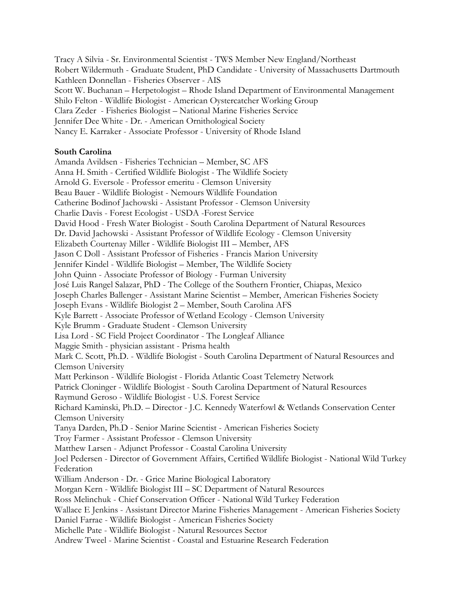Tracy A Silvia - Sr. Environmental Scientist - TWS Member New England/Northeast Robert Wildermuth - Graduate Student, PhD Candidate - University of Massachusetts Dartmouth Kathleen Donnellan - Fisheries Observer - AIS Scott W. Buchanan – Herpetologist – Rhode Island Department of Environmental Management Shilo Felton - Wildlife Biologist - American Oystercatcher Working Group Clara Zeder - Fisheries Biologist – National Marine Fisheries Service Jennifer Dee White - Dr. - American Ornithological Society Nancy E. Karraker - Associate Professor - University of Rhode Island

## **South Carolina**

Amanda Avildsen - Fisheries Technician – Member, SC AFS Anna H. Smith - Certified Wildlife Biologist - The Wildlife Society Arnold G. Eversole - Professor emeritu - Clemson University Beau Bauer - Wildlife Biologist - Nemours Wildlife Foundation Catherine Bodinof Jachowski - Assistant Professor - Clemson University Charlie Davis - Forest Ecologist - USDA -Forest Service David Hood - Fresh Water Biologist - South Carolina Department of Natural Resources Dr. David Jachowski - Assistant Professor of Wildlife Ecology - Clemson University Elizabeth Courtenay Miller - Wildlife Biologist III – Member, AFS Jason C Doll - Assistant Professor of Fisheries - Francis Marion University Jennifer Kindel - Wildlife Biologist – Member, The Wildlife Society John Quinn - Associate Professor of Biology - Furman University José Luis Rangel Salazar, PhD - The College of the Southern Frontier, Chiapas, Mexico Joseph Charles Ballenger - Assistant Marine Scientist – Member, American Fisheries Society Joseph Evans - Wildlife Biologist 2 – Member, South Carolina AFS Kyle Barrett - Associate Professor of Wetland Ecology - Clemson University Kyle Brumm - Graduate Student - Clemson University Lisa Lord - SC Field Project Coordinator - The Longleaf Alliance Maggie Smith - physician assistant - Prisma health Mark C. Scott, Ph.D. - Wildlife Biologist - South Carolina Department of Natural Resources and Clemson University Matt Perkinson - Wildlife Biologist - Florida Atlantic Coast Telemetry Network Patrick Cloninger - Wildlife Biologist - South Carolina Department of Natural Resources Raymund Geroso - Wildlife Biologist - U.S. Forest Service Richard Kaminski, Ph.D. – Director - J.C. Kennedy Waterfowl & Wetlands Conservation Center Clemson University Tanya Darden, Ph.D - Senior Marine Scientist - American Fisheries Society Troy Farmer - Assistant Professor - Clemson University Matthew Larsen - Adjunct Professor - Coastal Carolina University Joel Pedersen - Director of Government Affairs, Certified Wildlife Biologist - National Wild Turkey Federation William Anderson - Dr. - Grice Marine Biological Laboratory Morgan Kern - Wildlife Biologist III – SC Department of Natural Resources Ross Melinchuk - Chief Conservation Officer - National Wild Turkey Federation Wallace E Jenkins - Assistant Director Marine Fisheries Management - American Fisheries Society Daniel Farrae - Wildlife Biologist - American Fisheries Society Michelle Pate - Wildlife Biologist - Natural Resources Sector Andrew Tweel - Marine Scientist - Coastal and Estuarine Research Federation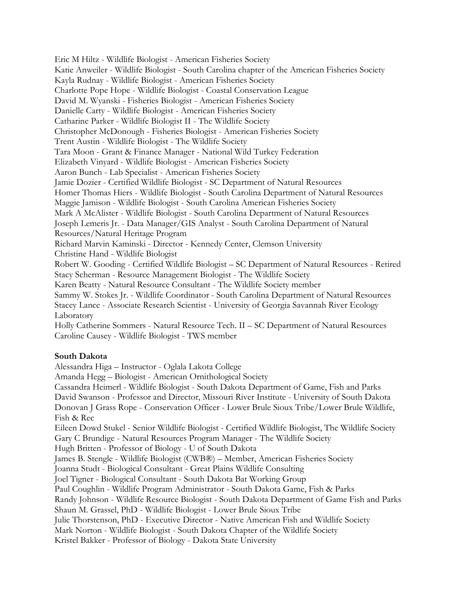Eric M Hiltz - Wildlife Biologist - American Fisheries Society Katie Anweiler - Wildlife Biologist - South Carolina chapter of the American Fisheries Society Kayla Rudnay - Wildlife Biologist - American Fisheries Society Charlotte Pope Hope - Wildlife Biologist - Coastal Conservation League David M. Wyanski - Fisheries Biologist - American Fisheries Society Danielle Carty - Wildlife Biologist - American Fisheries Society Catharine Parker - Wildlife Biologist II - The Wildlife Society Christopher McDonough - Fisheries Biologist - American Fisheries Society Trent Austin - Wildlife Biologist - The Wildlife Society Tara Moon - Grant & Finance Manager - National Wild Turkey Federation Elizabeth Vinyard - Wildlife Biologist - American Fisheries Society Aaron Bunch - Lab Specialist - American Fisheries Society Jamie Dozier - Certified Wildlife Biologist - SC Department of Natural Resources Homer Thomas Hiers - Wildlife Biologist - South Carolina Department of Natural Resources Maggie Jamison - Wildlife Biologist - South Carolina American Fisheries Society Mark A McAlister - Wildlife Biologist - South Carolina Department of Natural Resources Joseph Lemeris Jr. - Data Manager/GIS Analyst - South Carolina Department of Natural Resources/Natural Heritage Program Richard Marvin Kaminski - Director - Kennedy Center, Clemson University Christine Hand - Wildlife Biologist Robert W. Gooding - Certified Wildlife Biologist – SC Department of Natural Resources - Retired Stacy Scherman - Resource Management Biologist - The Wildlife Society Karen Beatty - Natural Resource Consultant - The Wildlife Society member Sammy W. Stokes Jr. - Wildlife Coordinator - South Carolina Department of Natural Resources Stacey Lance - Associate Research Scientist - University of Georgia Savannah River Ecology Laboratory Holly Catherine Sommers - Natural Resource Tech. II – SC Department of Natural Resources Caroline Causey - Wildlife Biologist - TWS member

# **South Dakota**

Alessandra Higa – Instructor - Oglala Lakota College Amanda Hegg – Biologist - American Ornithological Society Cassandra Heimerl - Wildlife Biologist - South Dakota Department of Game, Fish and Parks David Swanson - Professor and Director, Missouri River Institute - University of South Dakota Donovan J Grass Rope - Conservation Officer - Lower Brule Sioux Tribe/Lower Brule Wildlife, Fish & Rec Eileen Dowd Stukel - Senior Wildlife Biologist - Certified Wildlife Biologist, The Wildlife Society Gary C Brundige - Natural Resources Program Manager - The Wildlife Society Hugh Britten - Professor of Biology - U of South Dakota James B. Stengle - Wildlife Biologist (CWB®) – Member, American Fisheries Society Joanna Studt - Biological Consultant - Great Plains Wildlife Consulting Joel Tigner - Biological Consultant - South Dakota Bat Working Group Paul Coughlin - Wildlife Program Administrator - South Dakota Game, Fish & Parks Randy Johnson - Wildlife Resource Biologist - South Dakota Department of Game Fish and Parks Shaun M. Grassel, PhD - Wildlife Biologist - Lower Brule Sioux Tribe Julie Thorstenson, PhD - Executive Director - Native American Fish and Wildlife Society Mark Norton - Wildlife Biologist - South Dakota Chapter of the Wildlife Society Kristel Bakker - Professor of Biology - Dakota State University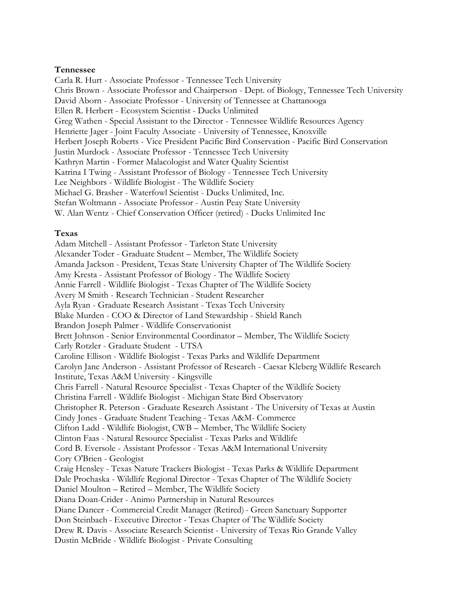#### **Tennessee**

Carla R. Hurt - Associate Professor - Tennessee Tech University Chris Brown - Associate Professor and Chairperson - Dept. of Biology, Tennessee Tech University David Aborn - Associate Professor - University of Tennessee at Chattanooga Ellen R. Herbert - Ecosystem Scientist - Ducks Unlimited Greg Wathen - Special Assistant to the Director - Tennessee Wildlife Resources Agency Henriette Jager - Joint Faculty Associate - University of Tennessee, Knoxville Herbert Joseph Roberts - Vice President Pacific Bird Conservation - Pacific Bird Conservation Justin Murdock - Associate Professor - Tennessee Tech University Kathryn Martin - Former Malacologist and Water Quality Scientist Katrina I Twing - Assistant Professor of Biology - Tennessee Tech University Lee Neighbors - Wildlife Biologist - The Wildlife Society Michael G. Brasher - Waterfowl Scientist - Ducks Unlimited, Inc. Stefan Woltmann - Associate Professor - Austin Peay State University W. Alan Wentz - Chief Conservation Officer (retired) - Ducks Unlimited Inc

#### **Texas**

Adam Mitchell - Assistant Professor - Tarleton State University Alexander Toder - Graduate Student – Member, The Wildlife Society Amanda Jackson - President, Texas State University Chapter of The Wildlife Society Amy Kresta - Assistant Professor of Biology - The Wildlife Society Annie Farrell - Wildlife Biologist - Texas Chapter of The Wildlife Society Avery M Smith - Research Technician - Student Researcher Ayla Ryan - Graduate Research Assistant - Texas Tech University Blake Murden - COO & Director of Land Stewardship - Shield Ranch Brandon Joseph Palmer - Wildlife Conservationist Brett Johnson - Senior Environmental Coordinator – Member, The Wildlife Society Carly Rotzler - Graduate Student - UTSA Caroline Ellison - Wildlife Biologist - Texas Parks and Wildlife Department Carolyn Jane Anderson - Assistant Professor of Research - Caesar Kleberg Wildlife Research Institute, Texas A&M University - Kingsville Chris Farrell - Natural Resource Specialist - Texas Chapter of the Wildlife Society Christina Farrell - Wildlife Biologist - Michigan State Bird Observatory Christopher R. Peterson - Graduate Research Assistant - The University of Texas at Austin Cindy Jones - Graduate Student Teaching - Texas A&M- Commerce Clifton Ladd - Wildlife Biologist, CWB – Member, The Wildlife Society Clinton Faas - Natural Resource Specialist - Texas Parks and Wildlife Cord B. Eversole - Assistant Professor - Texas A&M International University Cory O'Brien - Geologist Craig Hensley - Texas Nature Trackers Biologist - Texas Parks & Wildlife Department Dale Prochaska - Wildlife Regional Director - Texas Chapter of The Wildlife Society Daniel Moulton – Retired – Member, The Wildlife Society Diana Doan-Crider - Animo Partnership in Natural Resources Diane Dancer - Commercial Credit Manager (Retired)- Green Sanctuary Supporter Don Steinbach - Executive Director - Texas Chapter of The Wildlife Society Drew R. Davis - Associate Research Scientist - University of Texas Rio Grande Valley Dustin McBride - Wildlife Biologist - Private Consulting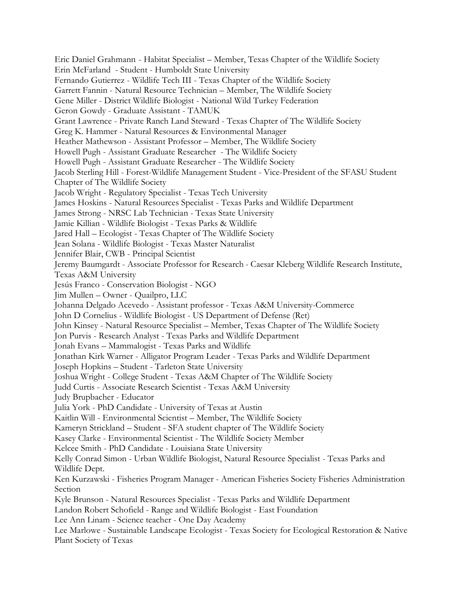Eric Daniel Grahmann - Habitat Specialist – Member, Texas Chapter of the Wildlife Society Erin McFarland - Student - Humboldt State University Fernando Gutierrez - Wildlife Tech III - Texas Chapter of the Wildlife Society Garrett Fannin - Natural Resource Technician – Member, The Wildlife Society Gene Miller - District Wildlife Biologist - National Wild Turkey Federation Geron Gowdy - Graduate Assistant - TAMUK Grant Lawrence - Private Ranch Land Steward - Texas Chapter of The Wildlife Society Greg K. Hammer - Natural Resources & Environmental Manager Heather Mathewson - Assistant Professor – Member, The Wildlife Society Howell Pugh - Assistant Graduate Researcher - The Wildlife Society Howell Pugh - Assistant Graduate Researcher - The Wildlife Society Jacob Sterling Hill - Forest-Wildlife Management Student - Vice-President of the SFASU Student Chapter of The Wildlife Society Jacob Wright - Regulatory Specialist - Texas Tech University James Hoskins - Natural Resources Specialist - Texas Parks and Wildlife Department James Strong - NRSC Lab Technician - Texas State University Jamie Killian - Wildlife Biologist - Texas Parks & Wildlife Jared Hall – Ecologist - Texas Chapter of The Wildlife Society Jean Solana - Wildlife Biologist - Texas Master Naturalist Jennifer Blair, CWB - Principal Scientist Jeremy Baumgardt - Associate Professor for Research - Caesar Kleberg Wildlife Research Institute, Texas A&M University Jesús Franco - Conservation Biologist - NGO Jim Mullen – Owner - Quailpro, LLC Johanna Delgado Acevedo - Assistant professor - Texas A&M University-Commerce John D Cornelius - Wildlife Biologist - US Department of Defense (Ret) John Kinsey - Natural Resource Specialist – Member, Texas Chapter of The Wildlife Society Jon Purvis - Research Analyst - Texas Parks and Wildlife Department Jonah Evans – Mammalogist - Texas Parks and Wildlife Jonathan Kirk Warner - Alligator Program Leader - Texas Parks and Wildlife Department Joseph Hopkins – Student - Tarleton State University Joshua Wright - College Student - Texas A&M Chapter of The Wildlife Society Judd Curtis - Associate Research Scientist - Texas A&M University Judy Brupbacher - Educator Julia York - PhD Candidate - University of Texas at Austin Kaitlin Will - Environmental Scientist – Member, The Wildlife Society Kameryn Strickland – Student - SFA student chapter of The Wildlife Society Kasey Clarke - Environmental Scientist - The Wildlife Society Member Kelcee Smith - PhD Candidate - Louisiana State University Kelly Conrad Simon - Urban Wildlife Biologist, Natural Resource Specialist - Texas Parks and Wildlife Dept. Ken Kurzawski - Fisheries Program Manager - American Fisheries Society Fisheries Administration Section Kyle Brunson - Natural Resources Specialist - Texas Parks and Wildlife Department Landon Robert Schofield - Range and Wildlife Biologist - East Foundation Lee Ann Linam - Science teacher - One Day Academy Lee Marlowe - Sustainable Landscape Ecologist - Texas Society for Ecological Restoration & Native Plant Society of Texas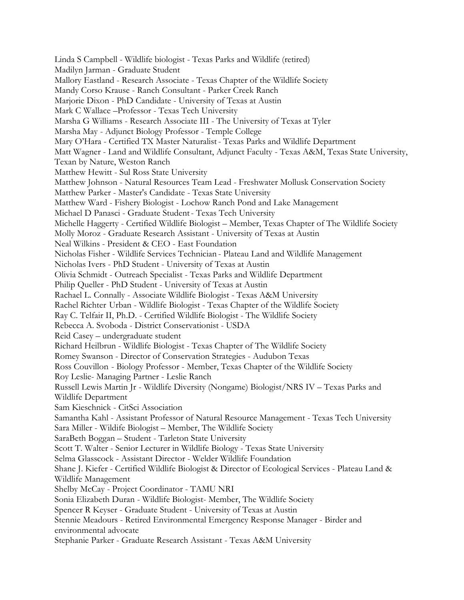Linda S Campbell - Wildlife biologist - Texas Parks and Wildlife (retired) Madilyn Jarman - Graduate Student Mallory Eastland - Research Associate - Texas Chapter of the Wildlife Society Mandy Corso Krause - Ranch Consultant - Parker Creek Ranch Marjorie Dixon - PhD Candidate - University of Texas at Austin Mark C Wallace –Professor - Texas Tech University Marsha G Williams - Research Associate III - The University of Texas at Tyler Marsha May - Adjunct Biology Professor - Temple College Mary O'Hara - Certified TX Master Naturalist- Texas Parks and Wildlife Department Matt Wagner - Land and Wildlife Consultant, Adjunct Faculty - Texas A&M, Texas State University, Texan by Nature, Weston Ranch Matthew Hewitt - Sul Ross State University Matthew Johnson - Natural Resources Team Lead - Freshwater Mollusk Conservation Society Matthew Parker - Master's Candidate - Texas State University Matthew Ward - Fishery Biologist - Lochow Ranch Pond and Lake Management Michael D Panasci - Graduate Student- Texas Tech University Michelle Haggerty - Certified Wildlife Biologist – Member, Texas Chapter of The Wildlife Society Molly Moroz - Graduate Research Assistant - University of Texas at Austin Neal Wilkins - President & CEO - East Foundation Nicholas Fisher - Wildlife Services Technician - Plateau Land and Wildlife Management Nicholas Ivers - PhD Student - University of Texas at Austin Olivia Schmidt - Outreach Specialist - Texas Parks and Wildlife Department Philip Queller - PhD Student - University of Texas at Austin Rachael L. Connally - Associate Wildlife Biologist - Texas A&M University Rachel Richter Urban - Wildlife Biologist - Texas Chapter of the Wildlife Society Ray C. Telfair II, Ph.D. - Certified Wildlife Biologist - The Wildlife Society Rebecca A. Svoboda - District Conservationist - USDA Reid Casey – undergraduate student Richard Heilbrun - Wildlife Biologist - Texas Chapter of The Wildlife Society Romey Swanson - Director of Conservation Strategies - Audubon Texas Ross Couvillon - Biology Professor - Member, Texas Chapter of the Wildlife Society Roy Leslie- Managing Partner - Leslie Ranch Russell Lewis Martin Jr - Wildlife Diversity (Nongame) Biologist/NRS IV – Texas Parks and Wildlife Department Sam Kieschnick - CitSci Association Samantha Kahl - Assistant Professor of Natural Resource Management - Texas Tech University Sara Miller - Wildife Biologist – Member, The Wildlife Society SaraBeth Boggan – Student - Tarleton State University Scott T. Walter - Senior Lecturer in Wildlife Biology - Texas State University Selma Glasscock - Assistant Director - Welder Wildlife Foundation Shane J. Kiefer - Certified Wildlife Biologist & Director of Ecological Services - Plateau Land & Wildlife Management Shelby McCay - Project Coordinator - TAMU NRI Sonia Elizabeth Duran - Wildlife Biologist- Member, The Wildlife Society Spencer R Keyser - Graduate Student - University of Texas at Austin Stennie Meadours - Retired Environmental Emergency Response Manager - Birder and environmental advocate Stephanie Parker - Graduate Research Assistant - Texas A&M University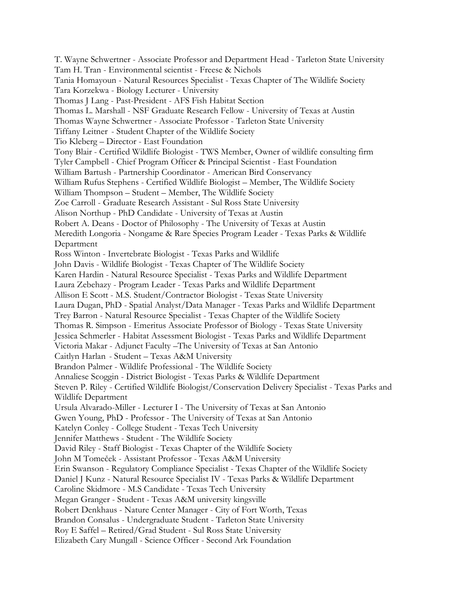T. Wayne Schwertner - Associate Professor and Department Head - Tarleton State University Tam H. Tran - Environmental scientist - Freese & Nichols Tania Homayoun - Natural Resources Specialist - Texas Chapter of The Wildlife Society Tara Korzekwa - Biology Lecturer - University Thomas J Lang - Past-President - AFS Fish Habitat Section Thomas L. Marshall - NSF Graduate Research Fellow - University of Texas at Austin Thomas Wayne Schwertner - Associate Professor - Tarleton State University Tiffany Leitner - Student Chapter of the Wildlife Society Tio Kleberg – Director - East Foundation Tony Blair - Certified Wildlife Biologist - TWS Member, Owner of wildlife consulting firm Tyler Campbell - Chief Program Officer & Principal Scientist - East Foundation William Bartush - Partnership Coordinator - American Bird Conservancy William Rufus Stephens - Certified Wildlife Biologist – Member, The Wildlife Society William Thompson – Student – Member, The Wildlife Society Zoe Carroll - Graduate Research Assistant - Sul Ross State University Alison Northup - PhD Candidate - University of Texas at Austin Robert A. Deans - Doctor of Philosophy - The University of Texas at Austin Meredith Longoria - Nongame & Rare Species Program Leader - Texas Parks & Wildlife Department Ross Winton - Invertebrate Biologist - Texas Parks and Wildlife John Davis - Wildlife Biologist - Texas Chapter of The Wildlife Society Karen Hardin - Natural Resource Specialist - Texas Parks and Wildlife Department Laura Zebehazy - Program Leader - Texas Parks and Wildlife Department Allison E Scott - M.S. Student/Contractor Biologist - Texas State University Laura Dugan, PhD - Spatial Analyst/Data Manager - Texas Parks and Wildlife Department Trey Barron - Natural Resource Specialist - Texas Chapter of the Wildlife Society Thomas R. Simpson - Emeritus Associate Professor of Biology - Texas State University Jessica Schmerler - Habitat Assessment Biologist - Texas Parks and Wildlife Department Victoria Makar - Adjunct Faculty –The University of Texas at San Antonio Caitlyn Harlan - Student – Texas A&M University Brandon Palmer - Wildlife Professional - The Wildlife Society Annaliese Scoggin - District Biologist - Texas Parks & Wildlife Department Steven P. Riley - Certified Wildlife Biologist/Conservation Delivery Specialist - Texas Parks and Wildlife Department Ursula Alvarado-Miller - Lecturer I - The University of Texas at San Antonio Gwen Young, PhD - Professor - The University of Texas at San Antonio Katelyn Conley - College Student - Texas Tech University Jennifer Matthews - Student - The Wildlife Society David Riley - Staff Biologist - Texas Chapter of the Wildlife Society John M Tomeček - Assistant Professor - Texas A&M University Erin Swanson - Regulatory Compliance Specialist - Texas Chapter of the Wildlife Society Daniel J Kunz - Natural Resource Specialist IV - Texas Parks & Wildlife Department Caroline Skidmore - M.S Candidate - Texas Tech University Megan Granger - Student - Texas A&M university kingsville Robert Denkhaus - Nature Center Manager - City of Fort Worth, Texas Brandon Consalus - Undergraduate Student - Tarleton State University Roy E Saffel – Retired/Grad Student - Sul Ross State University Elizabeth Cary Mungall - Science Officer - Second Ark Foundation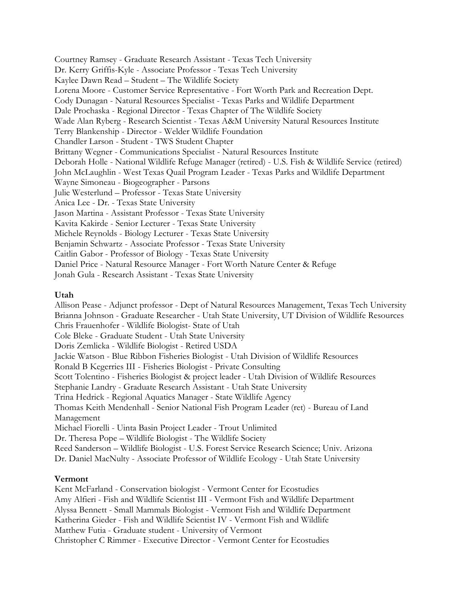Courtney Ramsey - Graduate Research Assistant - Texas Tech University Dr. Kerry Griffis-Kyle - Associate Professor - Texas Tech University Kaylee Dawn Read – Student – The Wildlife Society Lorena Moore - Customer Service Representative - Fort Worth Park and Recreation Dept. Cody Dunagan - Natural Resources Specialist - Texas Parks and Wildlife Department Dale Prochaska - Regional Director - Texas Chapter of The Wildlife Society Wade Alan Ryberg - Research Scientist - Texas A&M University Natural Resources Institute Terry Blankenship - Director - Welder Wildlife Foundation Chandler Larson - Student - TWS Student Chapter Brittany Wegner - Communications Specialist - Natural Resources Institute Deborah Holle - National Wildlife Refuge Manager (retired) - U.S. Fish & Wildlife Service (retired) John McLaughlin - West Texas Quail Program Leader - Texas Parks and Wildlife Department Wayne Simoneau - Biogeographer - Parsons Julie Westerlund – Professor - Texas State University Anica Lee - Dr. - Texas State University Jason Martina - Assistant Professor - Texas State University Kavita Kakirde - Senior Lecturer - Texas State University Michele Reynolds - Biology Lecturer - Texas State University Benjamin Schwartz - Associate Professor - Texas State University Caitlin Gabor - Professor of Biology - Texas State University Daniel Price - Natural Resource Manager - Fort Worth Nature Center & Refuge Jonah Gula - Research Assistant - Texas State University

## **Utah**

Allison Pease - Adjunct professor - Dept of Natural Resources Management, Texas Tech University Brianna Johnson - Graduate Researcher - Utah State University, UT Division of Wildlife Resources Chris Frauenhofer - Wildlife Biologist- State of Utah Cole Bleke - Graduate Student - Utah State University Doris Zemlicka - Wildlife Biologist - Retired USDA Jackie Watson - Blue Ribbon Fisheries Biologist - Utah Division of Wildlife Resources Ronald B Kegerries III - Fisheries Biologist - Private Consulting Scott Tolentino - Fisheries Biologist & project leader - Utah Division of Wildlife Resources Stephanie Landry - Graduate Research Assistant - Utah State University Trina Hedrick - Regional Aquatics Manager - State Wildlife Agency Thomas Keith Mendenhall - Senior National Fish Program Leader (ret) - Bureau of Land Management Michael Fiorelli - Uinta Basin Project Leader - Trout Unlimited Dr. Theresa Pope – Wildlife Biologist - The Wildlife Society Reed Sanderson – Wildlife Biologist - U.S. Forest Service Research Science; Univ. Arizona Dr. Daniel MacNulty - Associate Professor of Wildlife Ecology - Utah State University

#### **Vermont**

Kent McFarland - Conservation biologist - Vermont Center for Ecostudies Amy Alfieri - Fish and Wildlife Scientist III - Vermont Fish and Wildlife Department Alyssa Bennett - Small Mammals Biologist - Vermont Fish and Wildlife Department Katherina Gieder - Fish and Wildlife Scientist IV - Vermont Fish and Wildlife Matthew Futia - Graduate student - University of Vermont Christopher C Rimmer - Executive Director - Vermont Center for Ecostudies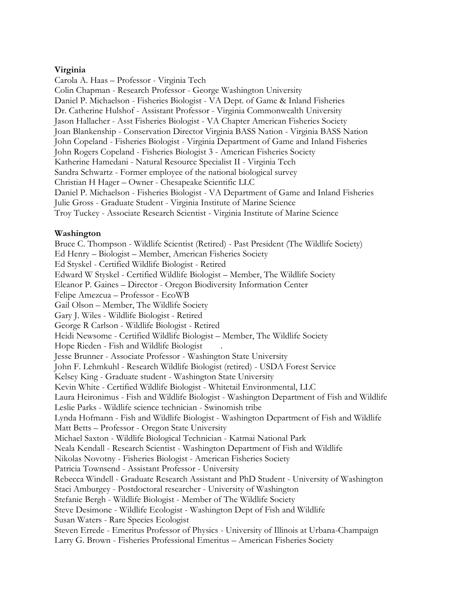## **Virginia**

Carola A. Haas – Professor - Virginia Tech Colin Chapman - Research Professor - George Washington University Daniel P. Michaelson - Fisheries Biologist - VA Dept. of Game & Inland Fisheries Dr. Catherine Hulshof - Assistant Professor - Virginia Commonwealth University Jason Hallacher - Asst Fisheries Biologist - VA Chapter American Fisheries Society Joan Blankenship - Conservation Director Virginia BASS Nation - Virginia BASS Nation John Copeland - Fisheries Biologist - Virginia Department of Game and Inland Fisheries John Rogers Copeland - Fisheries Biologist 3 - American Fisheries Society Katherine Hamedani - Natural Resource Specialist II - Virginia Tech Sandra Schwartz - Former employee of the national biological survey Christian H Hager – Owner - Chesapeake Scientific LLC Daniel P. Michaelson - Fisheries Biologist - VA Department of Game and Inland Fisheries Julie Gross - Graduate Student - Virginia Institute of Marine Science Troy Tuckey - Associate Research Scientist - Virginia Institute of Marine Science

## **Washington**

Bruce C. Thompson - Wildlife Scientist (Retired) - Past President (The Wildlife Society) Ed Henry – Biologist – Member, American Fisheries Society Ed Styskel - Certified Wildlife Biologist - Retired Edward W Styskel - Certified Wildlife Biologist – Member, The Wildlife Society Eleanor P. Gaines – Director - Oregon Biodiversity Information Center Felipe Amezcua – Professor - EcoWB Gail Olson – Member, The Wildlife Society Gary J. Wiles - Wildlife Biologist - Retired George R Carlson - Wildlife Biologist - Retired Heidi Newsome - Certified Wildlife Biologist – Member, The Wildlife Society Hope Rieden - Fish and Wildlife Biologist . Jesse Brunner - Associate Professor - Washington State University John F. Lehmkuhl - Research Wildlife Biologist (retired) - USDA Forest Service Kelsey King - Graduate student - Washington State University Kevin White - Certified Wildlife Biologist - Whitetail Environmental, LLC Laura Heironimus - Fish and Wildlife Biologist - Washington Department of Fish and Wildlife Leslie Parks - Wildlife science technician - Swinomish tribe Lynda Hofmann - Fish and Wildlife Biologist - Washington Department of Fish and Wildlife Matt Betts – Professor - Oregon State University Michael Saxton - Wildlife Biological Technician - Katmai National Park Neala Kendall - Research Scientist - Washington Department of Fish and Wildlife Nikolas Novotny - Fisheries Biologist - American Fisheries Society Patricia Townsend - Assistant Professor - University Rebecca Windell - Graduate Research Assistant and PhD Student - University of Washington Staci Amburgey - Postdoctoral researcher - University of Washington Stefanie Bergh - Wildlife Biologist - Member of The Wildlife Society Steve Desimone - Wildlife Ecologist - Washington Dept of Fish and Wildlife Susan Waters - Rare Species Ecologist Steven Errede - Emeritus Professor of Physics - University of Illinois at Urbana-Champaign Larry G. Brown - Fisheries Professional Emeritus – American Fisheries Society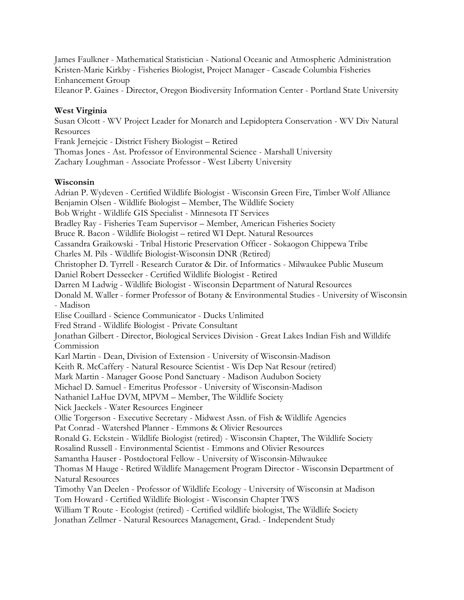James Faulkner - Mathematical Statistician - National Oceanic and Atmospheric Administration Kristen-Marie Kirkby - Fisheries Biologist, Project Manager - Cascade Columbia Fisheries Enhancement Group

Eleanor P. Gaines - Director, Oregon Biodiversity Information Center - Portland State University

# **West Virginia**

Susan Olcott - WV Project Leader for Monarch and Lepidoptera Conservation - WV Div Natural Resources

Frank Jernejcic - District Fishery Biologist – Retired

Thomas Jones - Ast. Professor of Environmental Science - Marshall University

Zachary Loughman - Associate Professor - West Liberty University

# **Wisconsin**

Adrian P. Wydeven - Certified Wildlife Biologist - Wisconsin Green Fire, Timber Wolf Alliance Benjamin Olsen - Wildlife Biologist – Member, The Wildlife Society Bob Wright - Wildlife GIS Specialist - Minnesota IT Services Bradley Ray - Fisheries Team Supervisor – Member, American Fisheries Society Bruce R. Bacon - Wildlife Biologist – retired WI Dept. Natural Resources Cassandra Graikowski - Tribal Historic Preservation Officer - Sokaogon Chippewa Tribe Charles M. Pils - Wildlife Biologist-Wisconsin DNR (Retired) Christopher D. Tyrrell - Research Curator & Dir. of Informatics - Milwaukee Public Museum Daniel Robert Dessecker - Certified Wildlife Biologist - Retired Darren M Ladwig - Wildlife Biologist - Wisconsin Department of Natural Resources Donald M. Waller - former Professor of Botany & Environmental Studies - University of Wisconsin - Madison Elise Couillard - Science Communicator - Ducks Unlimited Fred Strand - Wildlife Biologist - Private Consultant Jonathan Gilbert - Director, Biological Services Division - Great Lakes Indian Fish and Willdife Commission Karl Martin - Dean, Division of Extension - University of Wisconsin-Madison Keith R. McCaffery - Natural Resource Scientist - Wis Dep Nat Resour (retired) Mark Martin - Manager Goose Pond Sanctuary - Madison Audubon Society Michael D. Samuel - Emeritus Professor - University of Wisconsin-Madison Nathaniel LaHue DVM, MPVM – Member, The Wildlife Society Nick Jaeckels - Water Resources Engineer Ollie Torgerson - Executive Secretary - Midwest Assn. of Fish & Wildlife Agencies Pat Conrad - Watershed Planner - Emmons & Olivier Resources Ronald G. Eckstein - Wildlife Biologist (retired) - Wisconsin Chapter, The Wildlife Society Rosalind Russell - Environmental Scientist - Emmons and Olivier Resources Samantha Hauser - Postdoctoral Fellow - University of Wisconsin-Milwaukee Thomas M Hauge - Retired Wildlife Management Program Director - Wisconsin Department of Natural Resources Timothy Van Deelen - Professor of Wildlife Ecology - University of Wisconsin at Madison Tom Howard - Certified Wildlife Biologist - Wisconsin Chapter TWS William T Route - Ecologist (retired) - Certified wildlife biologist, The Wildlife Society Jonathan Zellmer - Natural Resources Management, Grad. - Independent Study